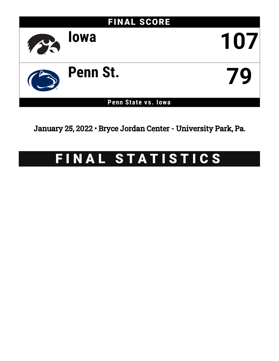

January 25, 2022 • Bryce Jordan Center - University Park, Pa.

# FINAL STATISTICS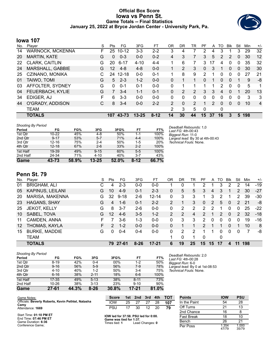### **Official Box Score Iowa vs Penn St. Game Totals -- Final Statistics January 25, 2022 at Bryce Jordan Center - University Park, Pa.**



### **Iowa 107**

| No. | Plaver              | S | <b>Pts</b> | FG        | 3FG       | FT       | 0 <sub>R</sub> | DR            | TR             | РF       | A             | TΟ | <b>Blk</b> | Stl | Min | $+/-$          |
|-----|---------------------|---|------------|-----------|-----------|----------|----------------|---------------|----------------|----------|---------------|----|------------|-----|-----|----------------|
| 14  | WARNOCK, MCKENNA    | F | 25         | $10 - 12$ | $3 - 3$   | $2 - 2$  | 3              | 4             |                | 2        | 4             | 3  |            | 3   | 29  | 32             |
| 20  | <b>MARTIN, KATE</b> | G | $\Omega$   | $0 - 3$   | $0 - 0$   | $0 - 2$  | 4              | 3             | 7              | 3        | 5             | 2  | 2          | 0   | 30  | 12             |
| 22  | CLARK, CAITLIN      | G | 20         | $6 - 17$  | $4 - 10$  | $4 - 4$  | 1              | 6             | 7              | 3        | 17            | 4  | 0          | 0   | 35  | 32             |
| 24  | MARSHALL, GABBIE    | G | 12         | $4 - 8$   | $4 - 8$   | $0 - 0$  | 1              | $\mathcal{P}$ | 3              | 0        | 3             |    | 0          | 0   | 30  | 30             |
| 25  | CZINANO, MONIKA     | C | 24         | $12 - 18$ | $0 - 0$   | $0 - 1$  | 1              | 8             | 9              | 2        |               | 0  | 0          | 0   | 27  | -21            |
| 01  | TAIWO, TOMI         | G | 5          | $2 - 3$   | $1 - 2$   | $0 - 0$  | 0              |               | 1              | $\Omega$ |               | 0  | $\Omega$   | 1   | 9   | -8             |
| 03  | AFFOLTER, SYDNEY    | G | $\Omega$   | $0 - 1$   | $0 - 1$   | $0 - 0$  | $\Omega$       |               |                |          |               | 2  | 0          | 0   | 5   | 1              |
| 04  | FEUERBACH, KYLIE    | G |            | $3 - 4$   | $1 - 1$   | $0 - 1$  | 0              | 2             | 2              | 3        | 3             | 4  | 0          |     | 20  | 13             |
| 34  | EDIGER, AJ          | F | 6          | $3 - 3$   | $0 - 0$   | $0 - 0$  | 0              | 0             | 0              | 0        | $\Omega$      | 0  | 0          | 0   | 3   | 3              |
| 44  | O'GRADY, ADDISON    | С | 8          | $3 - 4$   | $0 - 0$   | $2 - 2$  | 2              | 0             | $\overline{2}$ |          | $\mathcal{P}$ | 0  | 0          | 0   | 10  | $\overline{4}$ |
|     | <b>TEAM</b>         |   |            |           |           |          | 2              | 3             | 5              | 0        |               | 0  |            |     |     |                |
|     | <b>TOTALS</b>       |   | 107        | 43-73     | $13 - 25$ | $8 - 12$ | 14             | 30            | 44             | 15       | 37            | 16 | 3          | 5   | 198 |                |

| <b>Shooting By Period</b> |           |       |           |       |          |            |
|---------------------------|-----------|-------|-----------|-------|----------|------------|
| Period                    | FG        | FG%   | 3FG       | 3FG%  | FT.      | FT%        |
| 1st Qtr                   | $10 - 22$ | 45%   | $4 - 8$   | 50%   | $1 - 1$  | 100%       |
| 2nd Qtr                   | $9 - 17$  | 53%   | $5 - 7$   | 71%   | $4 - 4$  | 100%       |
| 3rd Qtr                   | $12 - 16$ | 75%   | $2 - 4$   | 50%   | $1-5$    | <b>20%</b> |
| 4th Qtr                   | $12 - 18$ | 67%   | $2 - 6$   | 33%   | $2 - 2$  | 100%       |
| 1st Half                  | 19-39     | 49%   | $9 - 15$  | 60%   | $5 - 5$  | 100%       |
| 2nd Half                  | 24-34     | 71%   | $4 - 10$  | 40%   | $3 - 7$  | 43%        |
| Game                      | 43-73     | 58.9% | $13 - 25$ | 52.0% | $8 - 12$ | 66.7%      |

# **Penn St. 79**

| No. | Plaver                  | S  | Pts               | FG       | 3FG      | FТ        | 0R             | DR | TR | PF            | A  | TO | <b>B</b> lk | Stl | Min | $+/-$ |
|-----|-------------------------|----|-------------------|----------|----------|-----------|----------------|----|----|---------------|----|----|-------------|-----|-----|-------|
| 01  | <b>BRIGHAM, ALI</b>     | С  | 4                 | $2 - 3$  | $0 - 0$  | $0-0$     |                | 0  |    |               |    | 3  |             | 2   | 14  | -19   |
| 05  | <b>KAPINUS, LEILANI</b> | G  | 10                | $4 - 9$  | $0 - 1$  | $2 - 3$   | $\mathbf{0}$   | 5  | 5  | 3.            | 4  | 3  |             | 2   | 30  | -27   |
| 20  | MARISA, MAKENNA         | G  | 32                | $9 - 18$ | $2-6$    | $12 - 14$ | 0              | 3  | 3  |               | 3  | 2  |             | 2   | 39  | $-30$ |
| 23  | <b>HAGANS, SHAY</b>     | G  | 4                 | $1 - 6$  | $0 - 1$  | $2 - 2$   | 2              |    | 3  | $\Omega$      | 2  | 5  | 0           | 2   | 21  | -8    |
| 25  | <b>JEKOT, KELLY</b>     | G  | 8                 | $3 - 7$  | $2-6$    | $0 - 0$   | $\mathbf{0}$   | 2  | 2  | 2             | 2  |    | 0           | 0   | 25  | $-22$ |
| 10  | SABEL, TOVA             | G  | $12 \overline{ }$ | $4-6$    | $3-5$    | $1 - 2$   | $\overline{2}$ | 2  | 4  | 2             |    | 2  | $\Omega$    | 2   | 32  | $-18$ |
| 11  | CAMDEN, ANNA            | F  |                   | 3-6      | 1-3      | $0 - 0$   | $\Omega$       | 3  | 3  | 2             | 0  | 0  | $\Omega$    | 0   | 19  | -16   |
| 12  | THOMAS, KAYLA           | F. | $\mathcal{P}$     | $1 - 2$  | $0 - 0$  | $0 - 0$   | 0              |    |    | $\mathcal{P}$ |    |    | 0           |     | 10  | 8     |
| 15  | <b>BURKE, MADDIE</b>    | G  | 0                 | $0 - 4$  | $0 - 4$  | $0 - 0$   | 0              | 2  | 2  |               |    | 0  | $\Omega$    | 0   | 7   | -8    |
|     | <b>TEAM</b>             |    |                   |          |          |           | 1              | 0  | -1 | 0             |    | 0  |             |     |     |       |
|     | <b>TOTALS</b>           |    | 79                | 27-61    | $8 - 26$ | $17 - 21$ | 6              | 19 | 25 | 15            | 15 | 17 | 4           | 11  | 198 |       |

| <b>Shooting By Period</b> |           |       |          |       |           |       |
|---------------------------|-----------|-------|----------|-------|-----------|-------|
| Period                    | FG        | FG%   | 3FG      | 3FG%  | FT        | FT%   |
| 1st Qtr                   | $8 - 19$  | 42%   | 0-4      | 00%   | $1 - 2$   | 50%   |
| 2nd Qtr                   | $9 - 16$  | 56%   | $5-9$    | 56%   | $7-9$     | 78%   |
| 3rd Qtr                   | $4 - 10$  | 40%   | $1 - 2$  | 50%   | $3 - 4$   | 75%   |
| 4th Qtr                   | $6 - 16$  | 38%   | $2 - 11$ | 18%   | $6 - 6$   | 100%  |
| 1st Half                  | $17 - 35$ | 49%   | $5 - 13$ | 38%   | $8 - 11$  | 73%   |
| 2nd Half                  | 10-26     | 38%   | $3 - 13$ | 23%   | $9 - 10$  | 90%   |
| Game                      | 27-61     | 44.3% | $8 - 26$ | 30.8% | $17 - 21$ | 81.0% |

*Deadball Rebounds:* 2,0 *Last FG:* 4th-00:28 *Biggest Run:* 6-0 *Largest lead:* By 0 at 1st-08:53 *Technical Fouls:* None.

*Deadball Rebounds:* 1,0 *Last FG:* 4th-00:43 *Biggest Run:* 11-0

*Largest lead:* By 30 at 4th-00:43 *Technical Fouls:* None.

| Game Notes:                                                | <b>Score</b>                                    | 1st l | 2nd             | 3rd | 4th | <b>TOT</b> | <b>Points</b>     | <b>IOW</b>     | <b>PSU</b>     |
|------------------------------------------------------------|-------------------------------------------------|-------|-----------------|-----|-----|------------|-------------------|----------------|----------------|
| Officials: Beverly Roberts, Kevin Pethtel, Natasha<br>Camv | <b>IOW</b>                                      | 25    | 27              | 27  | 28  | 107        | In the Paint      | 54             | 28             |
| Attendance: 1669                                           | <b>PSU</b>                                      | 17    | 30              | 12  | 20  | 79         | Off Turns         | 21             | 13             |
|                                                            |                                                 |       |                 |     |     |            | 2nd Chance        | 16             |                |
| Start Time: 01:10 PM ET<br>End Time: 07:46 PM ET           | IOW led for 37:58. PSU led for 0:00.            |       |                 |     |     |            | <b>Fast Break</b> | 18             | 10             |
| Game Duration: 6:36                                        | Game was tied for 1:37.<br>Times tied: <b>1</b> |       | Lead Changes: 0 |     |     |            | Bench             | 26             | 21             |
| Conference Game:                                           |                                                 |       |                 |     |     |            | Per Poss          | 1.354<br>47/79 | 1.000<br>35/79 |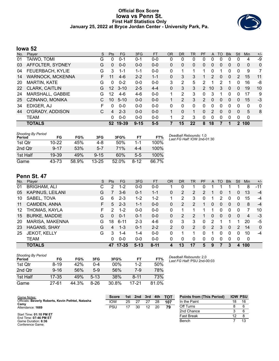### **Official Box Score Iowa vs Penn St. First Half Statistics Only January 25, 2022 at Bryce Jordan Center - University Park, Pa.**



# **Iowa 52**

| No. | Plaver                  | S  | <b>Pts</b> | <b>FG</b> | 3FG      | <b>FT</b> | <b>OR</b> | DR | TR           | <b>PF</b>      | A              | TO       | <b>B</b> lk | Stl      | Min         | $+/-$ |
|-----|-------------------------|----|------------|-----------|----------|-----------|-----------|----|--------------|----------------|----------------|----------|-------------|----------|-------------|-------|
| 01  | TAIWO, TOMI             | G  | 0          | $0 - 1$   | 0-1      | $0 - 0$   | 0         | 0  | 0            | 0              | 0              | 0        | 0           | 0        | 4           | -9    |
| 03  | AFFOLTER, SYDNEY        | G  | 0          | $0 - 0$   | $0 - 0$  | $0 - 0$   | 0         | 0  | $\mathbf{0}$ | 0              | 0              | 0        | $\Omega$    | 0        | 0           | 0     |
| 04  | FEUERBACH, KYLIE        | G  | 3          | 1-1       | $1 - 1$  | $0 - 0$   | 0         | 1  |              |                | 0              |          | 0           | 0        | 9           | 7     |
| 14  | <b>WARNOCK, MCKENNA</b> | F. | 11         | $4-6$     | $2 - 2$  | $1 - 1$   | 0         | 3  | 3            |                | $\overline{2}$ | 0        | 0           | 2        | 15          | 11    |
| 20  | <b>MARTIN, KATE</b>     | G  | 0          | $0 - 2$   | $0 - 0$  | $0 - 0$   | 3         | 2  | 5            | 2              |                | 2        |             | 0        | 16          | -8    |
| 22  | CLARK, CAITLIN          | G  | 12         | $3 - 10$  | $2 - 5$  | $4 - 4$   | 0         | 3  | 3            | $\mathbf{2}$   | 10             | 3        | $\Omega$    | 0        | 19          | 10    |
| 24  | MARSHALL, GABBIE        | G  | 12         | $4-6$     | $4-6$    | $0 - 0$   | 1         | 2  | 3            | 0              | 3              |          | 0           | 0        | 17          | 9     |
| 25  | CZINANO, MONIKA         |    | 10         | $5 - 10$  | $0 - 0$  | $0 - 0$   |           | 2  | 3            | $\overline{2}$ | 0              | $\Omega$ | 0           | 0        | 15          | $-3$  |
| 34  | EDIGER, AJ              | F  | 0          | $0 - 0$   | $0 - 0$  | $0 - 0$   | 0         | 0  | $\Omega$     | $\Omega$       | 0              | $\Omega$ | 0           | 0        | 0           | 0     |
| 44  | O'GRADY, ADDISON        | C. | 4          | $2 - 3$   | $0 - 0$  | $0 - 0$   |           | 0  | $\mathbf{1}$ | $\Omega$       | $\overline{2}$ | $\Omega$ | $\Omega$    | $\Omega$ | 5           | 8     |
|     | <b>TEAM</b>             |    | 0          | $0 - 0$   | $0 - 0$  | $0 - 0$   |           | 2  | 3            | 0              | 0              | 0        | 0           | 0        | $\mathbf 0$ |       |
|     | <b>TOTALS</b>           |    | 52         | 19-39     | $9 - 15$ | $5 - 5$   | 7         | 15 | 22           | 8              | 18             | 7        |             | 2        | 100         |       |

| <b>Shooting By Period</b><br>Period | FG        | FG%   | 3FG       | 3FG%       | FТ    | FT%   |
|-------------------------------------|-----------|-------|-----------|------------|-------|-------|
| 1st Otr                             | $10 - 22$ | 45%   | 4-8       | 50%        | 1-1   | 100%  |
| 2nd Otr                             | $9 - 17$  | 53%   | $5-7$     | <b>71%</b> | 4-4   | 100%  |
| 1st Half                            | 19-39     | 49%   | $9 - 15$  | 60%        | $5-5$ | 100%  |
| Game                                | 43-73     | 58.9% | $13 - 25$ | 52.0%      | 8-12  | 66.7% |

*Deadball Rebounds:* 1,0 *Last FG Half:* IOW 2nd-01:30

# **Penn St. 47**

| No. | Plaver                  | S. | <b>Pts</b> | FG        | 3FG      | FT       | 0R             | <b>DR</b> | TR             | <b>PF</b> | A | TO       | <b>Blk</b> | Stl           | Min            | $+/-$        |
|-----|-------------------------|----|------------|-----------|----------|----------|----------------|-----------|----------------|-----------|---|----------|------------|---------------|----------------|--------------|
| 01  | <b>BRIGHAM, ALI</b>     | С  | 2          | 1-2       | $0-0$    | 0-0      |                |           |                |           |   |          |            |               | 8              | $-11$        |
| 05  | <b>KAPINUS, LEILANI</b> | G  |            | $3-6$     | $0 - 1$  | $1 - 1$  | 0              | 2         | 2              | 2         |   | 0        |            | 0             | 13             | $-4$         |
| 10  | SABEL, TOVA             | G  | 6          | $2 - 3$   | $1 - 2$  | $1-2$    |                | 2         | 3              | 0         |   | 2        | 0          | 0             | 15             | $-4$         |
| 11  | CAMDEN, ANNA            | F. | 5          | $2 - 3$   | $1 - 1$  | $0 - 0$  | 0              | 2         | 2              |           | 0 | 0        | 0          | $\Omega$      | 8              | $-4$         |
| 12  | THOMAS, KAYLA           | F. | 2          | $1 - 2$   | $0 - 0$  | $0 - 0$  | 0              |           |                |           |   | 0        | 0          | 0             | 7              | 10           |
| 15  | <b>BURKE, MADDIE</b>    | G  | 0          | $0 - 1$   | $0 - 1$  | $0 - 0$  | 0              | 2         | 2              |           | 0 | $\Omega$ | 0          | $\Omega$      | $\overline{4}$ | $-3$         |
| 20  | MARISA, MAKENNA         | G  | 18         | $6 - 11$  | $2 - 3$  | 4-6      | $\Omega$       | 3         | 3              | $\Omega$  | 2 |          |            |               | 20             | -5           |
| 23  | HAGANS, SHAY            | G  | 4          | $1 - 3$   | $0 - 1$  | $2 - 2$  | $\overline{2}$ | 0         | $\overline{2}$ | $\Omega$  | 2 | 3        | 0          | $\mathcal{P}$ | 14             | $\mathbf{0}$ |
| 25  | <b>JEKOT, KELLY</b>     | G  | 3          | $1 - 4$   | 1-4      | $0 - 0$  | 0              |           | 1              | 0         |   | 0        | 0          | 0             | 10             | $-4$         |
|     | <b>TEAM</b>             |    | 0          | $0 - 0$   | $0 - 0$  | $0 - 0$  | 0              | 0         | $\Omega$       | $\Omega$  | 0 | 0        | 0          | $\Omega$      | 0              |              |
|     | <b>TOTALS</b>           |    | 47         | $17 - 35$ | $5 - 13$ | $8 - 11$ | 4              | 13        | 17             | 5         | 9 |          | 3          | 4             | 100            |              |

| <b>Shooting By Period</b><br>Period | FG        | FG%   | 3FG     | 3FG%       | FT       | FT%   |
|-------------------------------------|-----------|-------|---------|------------|----------|-------|
| 1st Otr                             | $8 - 19$  | 42%   | $0 - 4$ | 00%        | $1-2$    | 50%   |
| 2nd Otr                             | $9 - 16$  | 56%   | $5-9$   | 56%        | 7-9      | 78%   |
| 1st Half                            | $17 - 35$ | 49%   | $5-13$  | <b>38%</b> | $8 - 11$ | 73%   |
| Game                                | 27-61     | 44.3% | $8-26$  | 30.8%      | 17-21    | 81.0% |

*Deadball Rebounds:* 2,0 *Last FG Half:* PSU 2nd-00:03

| Game Notes:                                                | <b>Score</b> | 1st l | 2nd | 3rd | 4th | <b>TOT</b> | <b>Points from (This Period)</b> |    | <b>IOW PSU</b> |
|------------------------------------------------------------|--------------|-------|-----|-----|-----|------------|----------------------------------|----|----------------|
| Officials: Beverly Roberts, Kevin Pethtel, Natasha<br>Camy | <b>IOW</b>   | 25    |     | 27  | 28  | 107        | In the Paint                     | 18 | 16             |
| Attendance: 1669                                           | <b>PSU</b>   |       | 30  | 12  | 20  | 79         | Off Turns                        |    |                |
|                                                            |              |       |     |     |     |            | 2nd Chance                       |    |                |
| Start Time: 01:10 PM ET<br>End Time: 07:46 PM ET           |              |       |     |     |     |            | <b>Fast Break</b>                |    |                |
| Game Duration: 6:36<br>Conference Game;                    |              |       |     |     |     |            | Bench                            |    | 12             |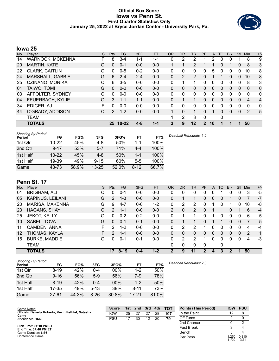### **Official Box Score Iowa vs Penn St. First Quarter Statistics Only January 25, 2022 at Bryce Jordan Center - University Park, Pa.**



# **Iowa 25**

| No. | Plaver                  | S | <b>Pts</b>    | <b>FG</b> | 3FG     | <b>FT</b> | <b>OR</b>    | DR       | TR             | <b>PF</b> | A        | TO       | <b>Blk</b> | Stl          | Min      | $+/-$        |
|-----|-------------------------|---|---------------|-----------|---------|-----------|--------------|----------|----------------|-----------|----------|----------|------------|--------------|----------|--------------|
| 14  | <b>WARNOCK, MCKENNA</b> | F | 8             | $3 - 4$   | 1-1     | 1-1       | 0            | 2        | 2              |           |          | 0        | 0          |              | 8        | 9            |
| 20  | <b>MARTIN, KATE</b>     | G | $\mathbf{0}$  | $0 - 1$   | $0 - 0$ | $0 - 0$   |              |          | $\overline{2}$ |           |          | 0        |            | $\mathbf{0}$ | 8        | 3            |
| 22  | CLARK, CAITLIN          | G | 0             | $0 - 5$   | $0 - 2$ | $0 - 0$   | $\Omega$     | 0        | 0              | 0         | 5        | 0        | 0          | 0            | 10       | 8            |
| 24  | MARSHALL, GABBIE        | G | 6             | $2 - 4$   | $2 - 4$ | $0 - 0$   | $\mathbf{0}$ | 2        | 2              | $\Omega$  |          |          | 0          | $\Omega$     | 10       | 8            |
| 25  | CZINANO, MONIKA         | С | 6             | $3 - 5$   | $0 - 0$ | $0 - 0$   | $\Omega$     |          | 1              | 0         | 0        | 0        | $\Omega$   | 0            | 8        | 3            |
| 01  | TAIWO, TOMI             | G | $\Omega$      | $0 - 0$   | $0 - 0$ | $0 - 0$   | $\mathbf{0}$ | 0        | 0              | 0         | 0        | $\Omega$ | $\Omega$   | $\mathbf{0}$ | $\Omega$ | $\mathbf{0}$ |
| 03  | AFFOLTER, SYDNEY        | G | 0             | $0 - 0$   | $0 - 0$ | $0 - 0$   | $\Omega$     | $\Omega$ | 0              | 0         | 0        | 0        | 0          | 0            | $\Omega$ | $\mathbf{0}$ |
| 04  | FEUERBACH, KYLIE        | G | 3             | $1 - 1$   | $1 - 1$ | $0 - 0$   | $\Omega$     |          |                | 0         | $\Omega$ | $\Omega$ | $\Omega$   | $\Omega$     | 4        | 4            |
| 34  | EDIGER, AJ              | F | 0             | $0 - 0$   | $0 - 0$ | $0 - 0$   | $\Omega$     | 0        | 0              | $\Omega$  | 0        | 0        | 0          | $\Omega$     | 0        | $\mathbf{0}$ |
| 44  | O'GRADY, ADDISON        | C | $\mathcal{P}$ | $1 - 2$   | $0 - 0$ | $0 - 0$   | 1            | 0        | 1              | 0         |          | 0        | 0          | $\mathbf{0}$ | 2        | 5            |
|     | <b>TEAM</b>             |   |               |           |         |           | 1            | 2        | 3              | 0         |          | 0        |            |              |          |              |
|     | <b>TOTALS</b>           |   | 25            | 10-22     | $4 - 8$ | $1 - 1$   | 3            | 9        | 12             | 2         | 10       |          |            | 1            | 50       |              |

| <b>Shooting By Period</b> |           |       |           |       |          |       |
|---------------------------|-----------|-------|-----------|-------|----------|-------|
| Period                    | FG.       | FG%   | 3FG       | 3FG%  | FT       | FT%   |
| 1st Qtr                   | $10 - 22$ | 45%   | $4-8$     | 50%   | 1-1      | 100%  |
| 2nd Qtr                   | $9 - 17$  | 53%   | $5-7$     | 71%   | $4 - 4$  | 100%  |
| 1st Half                  | $10 - 22$ | 45%   | $4-8$     | 50%   | 1-1      | 100%  |
| 1st Half                  | 19-39     | 49%   | $9 - 15$  | 60%   | $5 - 5$  | 100%  |
| Game                      | 43-73     | 58.9% | $13 - 25$ | 52.0% | $8 - 12$ | 66.7% |

# **Penn St. 17**

| No. | Player                  | S  | Pts      | <b>FG</b> | 3FG     | <b>FT</b> | <b>OR</b>      | <b>DR</b> | <b>TR</b>      | PF | A            | TO       | <b>Blk</b> | Stl      | Min | $+/-$ |
|-----|-------------------------|----|----------|-----------|---------|-----------|----------------|-----------|----------------|----|--------------|----------|------------|----------|-----|-------|
| 01  | <b>BRIGHAM, ALI</b>     | С  | 0        | $0 - 1$   | $0 - 0$ | $0-0$     | 0              | 0         | 0              | 0  | 0            |          | 0          | 0        | 3   | $-5$  |
| 05  | <b>KAPINUS, LEILANI</b> | G  | 2        | $1 - 3$   | $0 - 0$ | $0 - 0$   | 0              |           | 1              | 0  | $\mathbf{0}$ | $\Omega$ |            | 0        |     | $-7$  |
| 20  | MARISA, MAKENNA         | G  | 9        | $4 - 7$   | $0 - 0$ | $1 - 2$   | 0              | 2         | 2              | 0  |              |          |            | 0        | 10  | -8    |
| 23  | HAGANS, SHAY            | G  | 2        | $1 - 1$   | $0 - 0$ | $0 - 0$   | $\overline{2}$ | 0         | $\overline{2}$ | 0  |              |          | 0          |          | 6   | $-4$  |
| 25  | <b>JEKOT, KELLY</b>     | G  | $\Omega$ | $0 - 2$   | $0 - 2$ | $0-0$     | 0              |           | 1              | 0  |              |          | 0          | 0        | 6   | -5    |
| 10  | SABEL, TOVA             | G  | $\Omega$ | $0 - 1$   | $0 - 1$ | $0 - 0$   | 0              |           |                | 0  |              |          | 0          | $\Omega$ |     | $-5$  |
| 11  | CAMDEN, ANNA            | F  | 2        | $1 - 2$   | $0 - 0$ | $0 - 0$   | 0              | 2         | 2              |    | 0            | 0        | 0          | 0        | 4   | -4    |
| 12  | THOMAS, KAYLA           | F. | 2        | $1 - 1$   | $0 - 0$ | $0 - 0$   | $\Omega$       | 0         | 0              | 0  | $\Omega$     | $\Omega$ | $\Omega$   | $\Omega$ | 2   | 1     |
| 15  | <b>BURKE, MADDIE</b>    | G  | 0        | $0 - 1$   | 0-1     | $0-0$     | 0              | 2         | 2              | 1  | 0            | $\Omega$ | 0          | $\Omega$ | 4   | $-3$  |
|     | <b>TEAM</b>             |    |          |           |         |           | 0              | 0         | $\mathbf{0}$   | 0  |              | 0        |            |          |     |       |
|     | <b>TOTALS</b>           |    | 17       | $8 - 19$  | $0 - 4$ | $1 - 2$   | 2              | 9         | 11             | 2  | 4            | 3        |            |          | 50  |       |

| <b>Shooting By Period</b><br>Period | FG        | FG%   | 3FG      | 3FG%  | FT       | FT%   |
|-------------------------------------|-----------|-------|----------|-------|----------|-------|
| 1st Qtr                             | $8 - 19$  | 42%   | 0-4      | 00%   | 1-2      | 50%   |
| 2nd Qtr                             | $9 - 16$  | 56%   | $5-9$    | 56%   | 7-9      | 78%   |
| 1st Half                            | $8 - 19$  | 42%   | 0-4      | 00%   | $1 - 2$  | 50%   |
| 1st Half                            | 17-35     | 49%   | $5 - 13$ | 38%   | $8 - 11$ | 73%   |
| Game                                | $27 - 61$ | 44.3% | $8 - 26$ | 30.8% | 17-21    | 81.0% |

| Game Notes:                                        | <b>Score</b> | 1st l | 2nd | 3rd | 4th | <b>TOT</b> | <b>Points (This Period)</b> | <b>IOW</b>    | <b>PSU</b>    |
|----------------------------------------------------|--------------|-------|-----|-----|-----|------------|-----------------------------|---------------|---------------|
| Officials: Beverly Roberts, Kevin Pethtel, Natasha | <b>IOW</b>   | 25    | 27  | 27  | 28  | 107        | In the Paint                |               |               |
| Camy<br>Attendance: 1669                           | <b>PSU</b>   | 17    | 30  | 12  | 20  | 79         | Off Turns                   |               |               |
|                                                    |              |       |     |     |     |            | 2nd Chance                  |               |               |
| Start Time: 01:10 PM ET<br>End Time: 07:46 PM ET   |              |       |     |     |     |            | <b>Fast Break</b>           |               |               |
| Game Duration: 6:36                                |              |       |     |     |     |            | Bench                       |               |               |
| Conference Game:                                   |              |       |     |     |     |            | Per Poss                    | .250<br>11/20 | 0.810<br>9/21 |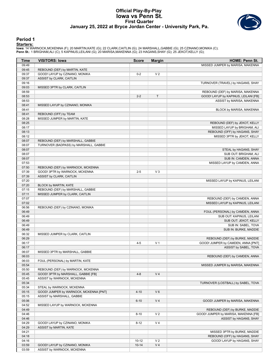#### **Official Play-By-Play Iowa vs Penn St. First Quarter January 25, 2022 at Bryce Jordan Center - University Park, Pa.**



#### **Period 1**

<mark>Startersː</mark><br>Iowa: 14 WARNOCK,MCKENNA (F); 20 MARTIN,KATE (G); 22 CLARK,CAITLIN (G); 24 MARSHALL,GABBIE (G); 25 CZINANO,MONIKA (C);<br>**Penn St.**: 1 BRIGHAM,ALI (C); 5 KAPINUS,LEILANI (G); 20 MARISA,MAKENNA (G); 23 HAGANS,SHAY

| 09:49<br>MISSED JUMPER by MARISA, MAKENNA<br>09:45<br>REBOUND (DEF) by MARTIN, KATE<br>09:37<br>GOOD! LAYUP by CZINANO, MONIKA<br>$0 - 2$<br>V <sub>2</sub><br>09:37<br>ASSIST by CLARK, CAITLIN<br>09:16<br>TURNOVER (TRAVEL) by HAGANS, SHAY<br>09:03<br>MISSED 3PTR by CLARK, CAITLIN<br>08:59<br>REBOUND (DEF) by MARISA, MAKENNA<br>T.<br>08:53<br>$2 - 2$<br>GOOD! LAYUP by KAPINUS, LEILANI [FB]<br>08:53<br>ASSIST by MARISA, MAKENNA<br>08:41<br>MISSED LAYUP by CZINANO, MONIKA<br>08:41<br>BLOCK by MARISA, MAKENNA<br>08:41<br>REBOUND (OFF) by TEAM<br>08:28<br>MISSED JUMPER by MARTIN, KATE<br>08:25<br>REBOUND (DEF) by JEKOT, KELLY<br>08:17<br>MISSED LAYUP by BRIGHAM, ALI<br>08:13<br>REBOUND (OFF) by HAGANS, SHAY<br>08:12<br>MISSED 3PTR by JEKOT, KELLY<br>08:07<br>REBOUND (DEF) by MARSHALL, GABBIE<br>08:07<br>TURNOVER (BADPASS) by MARSHALL, GABBIE<br>08:07<br>STEAL by HAGANS, SHAY<br>08:07<br>SUB OUT: BRIGHAM, ALI<br>08:07<br>SUB IN: CAMDEN, ANNA<br>07:53<br>MISSED LAYUP by CAMDEN, ANNA<br>07:50<br>REBOUND (DEF) by WARNOCK, MCKENNA<br>07:39<br>GOOD! 3PTR by WARNOCK, MCKENNA<br>$V_3$<br>$2 - 5$<br>07:39<br>ASSIST by CLARK, CAITLIN<br>07:20<br>MISSED LAYUP by KAPINUS, LEILANI<br>07:20<br><b>BLOCK by MARTIN, KATE</b><br>07:15<br>REBOUND (DEF) by MARSHALL, GABBIE<br>07:11<br>MISSED JUMPER by CLARK, CAITLIN<br>07:07<br>REBOUND (DEF) by CAMDEN, ANNA<br>07:02<br>MISSED LAYUP by KAPINUS, LEILANI<br>06:56<br>REBOUND (DEF) by CZINANO, MONIKA<br>06:49<br>FOUL (PERSONAL) by CAMDEN, ANNA<br>06:49<br>SUB OUT: KAPINUS, LEILANI<br>06:49<br>SUB OUT: JEKOT, KELLY<br>06:49<br>SUB IN: SABEL, TOVA<br>06:49<br>SUB IN: BURKE, MADDIE<br>06:32<br>MISSED JUMPER by CLARK, CAITLIN<br>06:29<br>REBOUND (DEF) by BURKE, MADDIE<br>06:17<br>V <sub>1</sub><br>$4 - 5$<br>GOOD! JUMPER by CAMDEN, ANNA [PNT]<br>06:17<br>ASSIST by SABEL, TOVA<br>06:07<br>MISSED 3PTR by MARSHALL, GABBIE<br>06:03<br>REBOUND (DEF) by CAMDEN, ANNA<br>06:03<br>FOUL (PERSONAL) by MARTIN, KATE<br>05:54<br>MISSED JUMPER by MARISA, MAKENNA<br>05:50<br>REBOUND (DEF) by WARNOCK, MCKENNA<br>V <sub>4</sub><br>05:45<br>GOOD! 3PTR by MARSHALL, GABBIE [FB]<br>$4 - 8$<br>05:45<br>ASSIST by WARNOCK, MCKENNA<br>05:34<br>TURNOVER (LOSTBALL) by SABEL, TOVA<br>05:34<br>STEAL by WARNOCK, MCKENNA<br>05:15<br>GOOD! JUMPER by WARNOCK, MCKENNA [PNT]<br>$4 - 10$<br>$V_6$<br>05:15<br>ASSIST by MARSHALL, GABBIE<br>05:06<br>V <sub>4</sub><br>$6 - 10$<br>GOOD! JUMPER by MARISA, MAKENNA<br>04:52<br>MISSED LAYUP by WARNOCK, MCKENNA<br>04:49<br>REBOUND (DEF) by BURKE, MADDIE<br>04:46<br>V <sub>2</sub><br>GOOD! JUMPER by MARISA, MAKENNA [FB]<br>$8 - 10$<br>04:46<br>ASSIST by HAGANS, SHAY<br>04:29<br>GOOD! LAYUP by CZINANO, MONIKA<br>V <sub>4</sub><br>$8 - 12$<br>04:29<br>ASSIST by MARTIN, KATE<br>04:21<br>MISSED 3PTR by BURKE, MADDIE<br>04:18<br>REBOUND (OFF) by HAGANS, SHAY<br>V <sub>2</sub><br>04:16<br>$10-12$<br>GOOD! LAYUP by HAGANS, SHAY<br>03:59<br>GOOD! LAYUP by CZINANO, MONIKA<br>$10 - 14$<br>V <sub>4</sub><br>03:59<br>ASSIST by WARNOCK, MCKENNA | Time | <b>VISITORS: Iowa</b> | <b>Score</b> | <b>Margin</b> | HOME: Penn St. |
|-------------------------------------------------------------------------------------------------------------------------------------------------------------------------------------------------------------------------------------------------------------------------------------------------------------------------------------------------------------------------------------------------------------------------------------------------------------------------------------------------------------------------------------------------------------------------------------------------------------------------------------------------------------------------------------------------------------------------------------------------------------------------------------------------------------------------------------------------------------------------------------------------------------------------------------------------------------------------------------------------------------------------------------------------------------------------------------------------------------------------------------------------------------------------------------------------------------------------------------------------------------------------------------------------------------------------------------------------------------------------------------------------------------------------------------------------------------------------------------------------------------------------------------------------------------------------------------------------------------------------------------------------------------------------------------------------------------------------------------------------------------------------------------------------------------------------------------------------------------------------------------------------------------------------------------------------------------------------------------------------------------------------------------------------------------------------------------------------------------------------------------------------------------------------------------------------------------------------------------------------------------------------------------------------------------------------------------------------------------------------------------------------------------------------------------------------------------------------------------------------------------------------------------------------------------------------------------------------------------------------------------------------------------------------------------------------------------------------------------------------------------------------------------------------------------------------------------------------------------------------------------------------------------------------------------------------------------------------------------------------------------------------------------------------------------------------------------------------------------------------------|------|-----------------------|--------------|---------------|----------------|
|                                                                                                                                                                                                                                                                                                                                                                                                                                                                                                                                                                                                                                                                                                                                                                                                                                                                                                                                                                                                                                                                                                                                                                                                                                                                                                                                                                                                                                                                                                                                                                                                                                                                                                                                                                                                                                                                                                                                                                                                                                                                                                                                                                                                                                                                                                                                                                                                                                                                                                                                                                                                                                                                                                                                                                                                                                                                                                                                                                                                                                                                                                                               |      |                       |              |               |                |
|                                                                                                                                                                                                                                                                                                                                                                                                                                                                                                                                                                                                                                                                                                                                                                                                                                                                                                                                                                                                                                                                                                                                                                                                                                                                                                                                                                                                                                                                                                                                                                                                                                                                                                                                                                                                                                                                                                                                                                                                                                                                                                                                                                                                                                                                                                                                                                                                                                                                                                                                                                                                                                                                                                                                                                                                                                                                                                                                                                                                                                                                                                                               |      |                       |              |               |                |
|                                                                                                                                                                                                                                                                                                                                                                                                                                                                                                                                                                                                                                                                                                                                                                                                                                                                                                                                                                                                                                                                                                                                                                                                                                                                                                                                                                                                                                                                                                                                                                                                                                                                                                                                                                                                                                                                                                                                                                                                                                                                                                                                                                                                                                                                                                                                                                                                                                                                                                                                                                                                                                                                                                                                                                                                                                                                                                                                                                                                                                                                                                                               |      |                       |              |               |                |
|                                                                                                                                                                                                                                                                                                                                                                                                                                                                                                                                                                                                                                                                                                                                                                                                                                                                                                                                                                                                                                                                                                                                                                                                                                                                                                                                                                                                                                                                                                                                                                                                                                                                                                                                                                                                                                                                                                                                                                                                                                                                                                                                                                                                                                                                                                                                                                                                                                                                                                                                                                                                                                                                                                                                                                                                                                                                                                                                                                                                                                                                                                                               |      |                       |              |               |                |
|                                                                                                                                                                                                                                                                                                                                                                                                                                                                                                                                                                                                                                                                                                                                                                                                                                                                                                                                                                                                                                                                                                                                                                                                                                                                                                                                                                                                                                                                                                                                                                                                                                                                                                                                                                                                                                                                                                                                                                                                                                                                                                                                                                                                                                                                                                                                                                                                                                                                                                                                                                                                                                                                                                                                                                                                                                                                                                                                                                                                                                                                                                                               |      |                       |              |               |                |
|                                                                                                                                                                                                                                                                                                                                                                                                                                                                                                                                                                                                                                                                                                                                                                                                                                                                                                                                                                                                                                                                                                                                                                                                                                                                                                                                                                                                                                                                                                                                                                                                                                                                                                                                                                                                                                                                                                                                                                                                                                                                                                                                                                                                                                                                                                                                                                                                                                                                                                                                                                                                                                                                                                                                                                                                                                                                                                                                                                                                                                                                                                                               |      |                       |              |               |                |
|                                                                                                                                                                                                                                                                                                                                                                                                                                                                                                                                                                                                                                                                                                                                                                                                                                                                                                                                                                                                                                                                                                                                                                                                                                                                                                                                                                                                                                                                                                                                                                                                                                                                                                                                                                                                                                                                                                                                                                                                                                                                                                                                                                                                                                                                                                                                                                                                                                                                                                                                                                                                                                                                                                                                                                                                                                                                                                                                                                                                                                                                                                                               |      |                       |              |               |                |
|                                                                                                                                                                                                                                                                                                                                                                                                                                                                                                                                                                                                                                                                                                                                                                                                                                                                                                                                                                                                                                                                                                                                                                                                                                                                                                                                                                                                                                                                                                                                                                                                                                                                                                                                                                                                                                                                                                                                                                                                                                                                                                                                                                                                                                                                                                                                                                                                                                                                                                                                                                                                                                                                                                                                                                                                                                                                                                                                                                                                                                                                                                                               |      |                       |              |               |                |
|                                                                                                                                                                                                                                                                                                                                                                                                                                                                                                                                                                                                                                                                                                                                                                                                                                                                                                                                                                                                                                                                                                                                                                                                                                                                                                                                                                                                                                                                                                                                                                                                                                                                                                                                                                                                                                                                                                                                                                                                                                                                                                                                                                                                                                                                                                                                                                                                                                                                                                                                                                                                                                                                                                                                                                                                                                                                                                                                                                                                                                                                                                                               |      |                       |              |               |                |
|                                                                                                                                                                                                                                                                                                                                                                                                                                                                                                                                                                                                                                                                                                                                                                                                                                                                                                                                                                                                                                                                                                                                                                                                                                                                                                                                                                                                                                                                                                                                                                                                                                                                                                                                                                                                                                                                                                                                                                                                                                                                                                                                                                                                                                                                                                                                                                                                                                                                                                                                                                                                                                                                                                                                                                                                                                                                                                                                                                                                                                                                                                                               |      |                       |              |               |                |
|                                                                                                                                                                                                                                                                                                                                                                                                                                                                                                                                                                                                                                                                                                                                                                                                                                                                                                                                                                                                                                                                                                                                                                                                                                                                                                                                                                                                                                                                                                                                                                                                                                                                                                                                                                                                                                                                                                                                                                                                                                                                                                                                                                                                                                                                                                                                                                                                                                                                                                                                                                                                                                                                                                                                                                                                                                                                                                                                                                                                                                                                                                                               |      |                       |              |               |                |
|                                                                                                                                                                                                                                                                                                                                                                                                                                                                                                                                                                                                                                                                                                                                                                                                                                                                                                                                                                                                                                                                                                                                                                                                                                                                                                                                                                                                                                                                                                                                                                                                                                                                                                                                                                                                                                                                                                                                                                                                                                                                                                                                                                                                                                                                                                                                                                                                                                                                                                                                                                                                                                                                                                                                                                                                                                                                                                                                                                                                                                                                                                                               |      |                       |              |               |                |
|                                                                                                                                                                                                                                                                                                                                                                                                                                                                                                                                                                                                                                                                                                                                                                                                                                                                                                                                                                                                                                                                                                                                                                                                                                                                                                                                                                                                                                                                                                                                                                                                                                                                                                                                                                                                                                                                                                                                                                                                                                                                                                                                                                                                                                                                                                                                                                                                                                                                                                                                                                                                                                                                                                                                                                                                                                                                                                                                                                                                                                                                                                                               |      |                       |              |               |                |
|                                                                                                                                                                                                                                                                                                                                                                                                                                                                                                                                                                                                                                                                                                                                                                                                                                                                                                                                                                                                                                                                                                                                                                                                                                                                                                                                                                                                                                                                                                                                                                                                                                                                                                                                                                                                                                                                                                                                                                                                                                                                                                                                                                                                                                                                                                                                                                                                                                                                                                                                                                                                                                                                                                                                                                                                                                                                                                                                                                                                                                                                                                                               |      |                       |              |               |                |
|                                                                                                                                                                                                                                                                                                                                                                                                                                                                                                                                                                                                                                                                                                                                                                                                                                                                                                                                                                                                                                                                                                                                                                                                                                                                                                                                                                                                                                                                                                                                                                                                                                                                                                                                                                                                                                                                                                                                                                                                                                                                                                                                                                                                                                                                                                                                                                                                                                                                                                                                                                                                                                                                                                                                                                                                                                                                                                                                                                                                                                                                                                                               |      |                       |              |               |                |
|                                                                                                                                                                                                                                                                                                                                                                                                                                                                                                                                                                                                                                                                                                                                                                                                                                                                                                                                                                                                                                                                                                                                                                                                                                                                                                                                                                                                                                                                                                                                                                                                                                                                                                                                                                                                                                                                                                                                                                                                                                                                                                                                                                                                                                                                                                                                                                                                                                                                                                                                                                                                                                                                                                                                                                                                                                                                                                                                                                                                                                                                                                                               |      |                       |              |               |                |
|                                                                                                                                                                                                                                                                                                                                                                                                                                                                                                                                                                                                                                                                                                                                                                                                                                                                                                                                                                                                                                                                                                                                                                                                                                                                                                                                                                                                                                                                                                                                                                                                                                                                                                                                                                                                                                                                                                                                                                                                                                                                                                                                                                                                                                                                                                                                                                                                                                                                                                                                                                                                                                                                                                                                                                                                                                                                                                                                                                                                                                                                                                                               |      |                       |              |               |                |
|                                                                                                                                                                                                                                                                                                                                                                                                                                                                                                                                                                                                                                                                                                                                                                                                                                                                                                                                                                                                                                                                                                                                                                                                                                                                                                                                                                                                                                                                                                                                                                                                                                                                                                                                                                                                                                                                                                                                                                                                                                                                                                                                                                                                                                                                                                                                                                                                                                                                                                                                                                                                                                                                                                                                                                                                                                                                                                                                                                                                                                                                                                                               |      |                       |              |               |                |
|                                                                                                                                                                                                                                                                                                                                                                                                                                                                                                                                                                                                                                                                                                                                                                                                                                                                                                                                                                                                                                                                                                                                                                                                                                                                                                                                                                                                                                                                                                                                                                                                                                                                                                                                                                                                                                                                                                                                                                                                                                                                                                                                                                                                                                                                                                                                                                                                                                                                                                                                                                                                                                                                                                                                                                                                                                                                                                                                                                                                                                                                                                                               |      |                       |              |               |                |
|                                                                                                                                                                                                                                                                                                                                                                                                                                                                                                                                                                                                                                                                                                                                                                                                                                                                                                                                                                                                                                                                                                                                                                                                                                                                                                                                                                                                                                                                                                                                                                                                                                                                                                                                                                                                                                                                                                                                                                                                                                                                                                                                                                                                                                                                                                                                                                                                                                                                                                                                                                                                                                                                                                                                                                                                                                                                                                                                                                                                                                                                                                                               |      |                       |              |               |                |
|                                                                                                                                                                                                                                                                                                                                                                                                                                                                                                                                                                                                                                                                                                                                                                                                                                                                                                                                                                                                                                                                                                                                                                                                                                                                                                                                                                                                                                                                                                                                                                                                                                                                                                                                                                                                                                                                                                                                                                                                                                                                                                                                                                                                                                                                                                                                                                                                                                                                                                                                                                                                                                                                                                                                                                                                                                                                                                                                                                                                                                                                                                                               |      |                       |              |               |                |
|                                                                                                                                                                                                                                                                                                                                                                                                                                                                                                                                                                                                                                                                                                                                                                                                                                                                                                                                                                                                                                                                                                                                                                                                                                                                                                                                                                                                                                                                                                                                                                                                                                                                                                                                                                                                                                                                                                                                                                                                                                                                                                                                                                                                                                                                                                                                                                                                                                                                                                                                                                                                                                                                                                                                                                                                                                                                                                                                                                                                                                                                                                                               |      |                       |              |               |                |
|                                                                                                                                                                                                                                                                                                                                                                                                                                                                                                                                                                                                                                                                                                                                                                                                                                                                                                                                                                                                                                                                                                                                                                                                                                                                                                                                                                                                                                                                                                                                                                                                                                                                                                                                                                                                                                                                                                                                                                                                                                                                                                                                                                                                                                                                                                                                                                                                                                                                                                                                                                                                                                                                                                                                                                                                                                                                                                                                                                                                                                                                                                                               |      |                       |              |               |                |
|                                                                                                                                                                                                                                                                                                                                                                                                                                                                                                                                                                                                                                                                                                                                                                                                                                                                                                                                                                                                                                                                                                                                                                                                                                                                                                                                                                                                                                                                                                                                                                                                                                                                                                                                                                                                                                                                                                                                                                                                                                                                                                                                                                                                                                                                                                                                                                                                                                                                                                                                                                                                                                                                                                                                                                                                                                                                                                                                                                                                                                                                                                                               |      |                       |              |               |                |
|                                                                                                                                                                                                                                                                                                                                                                                                                                                                                                                                                                                                                                                                                                                                                                                                                                                                                                                                                                                                                                                                                                                                                                                                                                                                                                                                                                                                                                                                                                                                                                                                                                                                                                                                                                                                                                                                                                                                                                                                                                                                                                                                                                                                                                                                                                                                                                                                                                                                                                                                                                                                                                                                                                                                                                                                                                                                                                                                                                                                                                                                                                                               |      |                       |              |               |                |
|                                                                                                                                                                                                                                                                                                                                                                                                                                                                                                                                                                                                                                                                                                                                                                                                                                                                                                                                                                                                                                                                                                                                                                                                                                                                                                                                                                                                                                                                                                                                                                                                                                                                                                                                                                                                                                                                                                                                                                                                                                                                                                                                                                                                                                                                                                                                                                                                                                                                                                                                                                                                                                                                                                                                                                                                                                                                                                                                                                                                                                                                                                                               |      |                       |              |               |                |
|                                                                                                                                                                                                                                                                                                                                                                                                                                                                                                                                                                                                                                                                                                                                                                                                                                                                                                                                                                                                                                                                                                                                                                                                                                                                                                                                                                                                                                                                                                                                                                                                                                                                                                                                                                                                                                                                                                                                                                                                                                                                                                                                                                                                                                                                                                                                                                                                                                                                                                                                                                                                                                                                                                                                                                                                                                                                                                                                                                                                                                                                                                                               |      |                       |              |               |                |
|                                                                                                                                                                                                                                                                                                                                                                                                                                                                                                                                                                                                                                                                                                                                                                                                                                                                                                                                                                                                                                                                                                                                                                                                                                                                                                                                                                                                                                                                                                                                                                                                                                                                                                                                                                                                                                                                                                                                                                                                                                                                                                                                                                                                                                                                                                                                                                                                                                                                                                                                                                                                                                                                                                                                                                                                                                                                                                                                                                                                                                                                                                                               |      |                       |              |               |                |
|                                                                                                                                                                                                                                                                                                                                                                                                                                                                                                                                                                                                                                                                                                                                                                                                                                                                                                                                                                                                                                                                                                                                                                                                                                                                                                                                                                                                                                                                                                                                                                                                                                                                                                                                                                                                                                                                                                                                                                                                                                                                                                                                                                                                                                                                                                                                                                                                                                                                                                                                                                                                                                                                                                                                                                                                                                                                                                                                                                                                                                                                                                                               |      |                       |              |               |                |
|                                                                                                                                                                                                                                                                                                                                                                                                                                                                                                                                                                                                                                                                                                                                                                                                                                                                                                                                                                                                                                                                                                                                                                                                                                                                                                                                                                                                                                                                                                                                                                                                                                                                                                                                                                                                                                                                                                                                                                                                                                                                                                                                                                                                                                                                                                                                                                                                                                                                                                                                                                                                                                                                                                                                                                                                                                                                                                                                                                                                                                                                                                                               |      |                       |              |               |                |
|                                                                                                                                                                                                                                                                                                                                                                                                                                                                                                                                                                                                                                                                                                                                                                                                                                                                                                                                                                                                                                                                                                                                                                                                                                                                                                                                                                                                                                                                                                                                                                                                                                                                                                                                                                                                                                                                                                                                                                                                                                                                                                                                                                                                                                                                                                                                                                                                                                                                                                                                                                                                                                                                                                                                                                                                                                                                                                                                                                                                                                                                                                                               |      |                       |              |               |                |
|                                                                                                                                                                                                                                                                                                                                                                                                                                                                                                                                                                                                                                                                                                                                                                                                                                                                                                                                                                                                                                                                                                                                                                                                                                                                                                                                                                                                                                                                                                                                                                                                                                                                                                                                                                                                                                                                                                                                                                                                                                                                                                                                                                                                                                                                                                                                                                                                                                                                                                                                                                                                                                                                                                                                                                                                                                                                                                                                                                                                                                                                                                                               |      |                       |              |               |                |
|                                                                                                                                                                                                                                                                                                                                                                                                                                                                                                                                                                                                                                                                                                                                                                                                                                                                                                                                                                                                                                                                                                                                                                                                                                                                                                                                                                                                                                                                                                                                                                                                                                                                                                                                                                                                                                                                                                                                                                                                                                                                                                                                                                                                                                                                                                                                                                                                                                                                                                                                                                                                                                                                                                                                                                                                                                                                                                                                                                                                                                                                                                                               |      |                       |              |               |                |
|                                                                                                                                                                                                                                                                                                                                                                                                                                                                                                                                                                                                                                                                                                                                                                                                                                                                                                                                                                                                                                                                                                                                                                                                                                                                                                                                                                                                                                                                                                                                                                                                                                                                                                                                                                                                                                                                                                                                                                                                                                                                                                                                                                                                                                                                                                                                                                                                                                                                                                                                                                                                                                                                                                                                                                                                                                                                                                                                                                                                                                                                                                                               |      |                       |              |               |                |
|                                                                                                                                                                                                                                                                                                                                                                                                                                                                                                                                                                                                                                                                                                                                                                                                                                                                                                                                                                                                                                                                                                                                                                                                                                                                                                                                                                                                                                                                                                                                                                                                                                                                                                                                                                                                                                                                                                                                                                                                                                                                                                                                                                                                                                                                                                                                                                                                                                                                                                                                                                                                                                                                                                                                                                                                                                                                                                                                                                                                                                                                                                                               |      |                       |              |               |                |
|                                                                                                                                                                                                                                                                                                                                                                                                                                                                                                                                                                                                                                                                                                                                                                                                                                                                                                                                                                                                                                                                                                                                                                                                                                                                                                                                                                                                                                                                                                                                                                                                                                                                                                                                                                                                                                                                                                                                                                                                                                                                                                                                                                                                                                                                                                                                                                                                                                                                                                                                                                                                                                                                                                                                                                                                                                                                                                                                                                                                                                                                                                                               |      |                       |              |               |                |
|                                                                                                                                                                                                                                                                                                                                                                                                                                                                                                                                                                                                                                                                                                                                                                                                                                                                                                                                                                                                                                                                                                                                                                                                                                                                                                                                                                                                                                                                                                                                                                                                                                                                                                                                                                                                                                                                                                                                                                                                                                                                                                                                                                                                                                                                                                                                                                                                                                                                                                                                                                                                                                                                                                                                                                                                                                                                                                                                                                                                                                                                                                                               |      |                       |              |               |                |
|                                                                                                                                                                                                                                                                                                                                                                                                                                                                                                                                                                                                                                                                                                                                                                                                                                                                                                                                                                                                                                                                                                                                                                                                                                                                                                                                                                                                                                                                                                                                                                                                                                                                                                                                                                                                                                                                                                                                                                                                                                                                                                                                                                                                                                                                                                                                                                                                                                                                                                                                                                                                                                                                                                                                                                                                                                                                                                                                                                                                                                                                                                                               |      |                       |              |               |                |
|                                                                                                                                                                                                                                                                                                                                                                                                                                                                                                                                                                                                                                                                                                                                                                                                                                                                                                                                                                                                                                                                                                                                                                                                                                                                                                                                                                                                                                                                                                                                                                                                                                                                                                                                                                                                                                                                                                                                                                                                                                                                                                                                                                                                                                                                                                                                                                                                                                                                                                                                                                                                                                                                                                                                                                                                                                                                                                                                                                                                                                                                                                                               |      |                       |              |               |                |
|                                                                                                                                                                                                                                                                                                                                                                                                                                                                                                                                                                                                                                                                                                                                                                                                                                                                                                                                                                                                                                                                                                                                                                                                                                                                                                                                                                                                                                                                                                                                                                                                                                                                                                                                                                                                                                                                                                                                                                                                                                                                                                                                                                                                                                                                                                                                                                                                                                                                                                                                                                                                                                                                                                                                                                                                                                                                                                                                                                                                                                                                                                                               |      |                       |              |               |                |
|                                                                                                                                                                                                                                                                                                                                                                                                                                                                                                                                                                                                                                                                                                                                                                                                                                                                                                                                                                                                                                                                                                                                                                                                                                                                                                                                                                                                                                                                                                                                                                                                                                                                                                                                                                                                                                                                                                                                                                                                                                                                                                                                                                                                                                                                                                                                                                                                                                                                                                                                                                                                                                                                                                                                                                                                                                                                                                                                                                                                                                                                                                                               |      |                       |              |               |                |
|                                                                                                                                                                                                                                                                                                                                                                                                                                                                                                                                                                                                                                                                                                                                                                                                                                                                                                                                                                                                                                                                                                                                                                                                                                                                                                                                                                                                                                                                                                                                                                                                                                                                                                                                                                                                                                                                                                                                                                                                                                                                                                                                                                                                                                                                                                                                                                                                                                                                                                                                                                                                                                                                                                                                                                                                                                                                                                                                                                                                                                                                                                                               |      |                       |              |               |                |
|                                                                                                                                                                                                                                                                                                                                                                                                                                                                                                                                                                                                                                                                                                                                                                                                                                                                                                                                                                                                                                                                                                                                                                                                                                                                                                                                                                                                                                                                                                                                                                                                                                                                                                                                                                                                                                                                                                                                                                                                                                                                                                                                                                                                                                                                                                                                                                                                                                                                                                                                                                                                                                                                                                                                                                                                                                                                                                                                                                                                                                                                                                                               |      |                       |              |               |                |
|                                                                                                                                                                                                                                                                                                                                                                                                                                                                                                                                                                                                                                                                                                                                                                                                                                                                                                                                                                                                                                                                                                                                                                                                                                                                                                                                                                                                                                                                                                                                                                                                                                                                                                                                                                                                                                                                                                                                                                                                                                                                                                                                                                                                                                                                                                                                                                                                                                                                                                                                                                                                                                                                                                                                                                                                                                                                                                                                                                                                                                                                                                                               |      |                       |              |               |                |
|                                                                                                                                                                                                                                                                                                                                                                                                                                                                                                                                                                                                                                                                                                                                                                                                                                                                                                                                                                                                                                                                                                                                                                                                                                                                                                                                                                                                                                                                                                                                                                                                                                                                                                                                                                                                                                                                                                                                                                                                                                                                                                                                                                                                                                                                                                                                                                                                                                                                                                                                                                                                                                                                                                                                                                                                                                                                                                                                                                                                                                                                                                                               |      |                       |              |               |                |
|                                                                                                                                                                                                                                                                                                                                                                                                                                                                                                                                                                                                                                                                                                                                                                                                                                                                                                                                                                                                                                                                                                                                                                                                                                                                                                                                                                                                                                                                                                                                                                                                                                                                                                                                                                                                                                                                                                                                                                                                                                                                                                                                                                                                                                                                                                                                                                                                                                                                                                                                                                                                                                                                                                                                                                                                                                                                                                                                                                                                                                                                                                                               |      |                       |              |               |                |
|                                                                                                                                                                                                                                                                                                                                                                                                                                                                                                                                                                                                                                                                                                                                                                                                                                                                                                                                                                                                                                                                                                                                                                                                                                                                                                                                                                                                                                                                                                                                                                                                                                                                                                                                                                                                                                                                                                                                                                                                                                                                                                                                                                                                                                                                                                                                                                                                                                                                                                                                                                                                                                                                                                                                                                                                                                                                                                                                                                                                                                                                                                                               |      |                       |              |               |                |
|                                                                                                                                                                                                                                                                                                                                                                                                                                                                                                                                                                                                                                                                                                                                                                                                                                                                                                                                                                                                                                                                                                                                                                                                                                                                                                                                                                                                                                                                                                                                                                                                                                                                                                                                                                                                                                                                                                                                                                                                                                                                                                                                                                                                                                                                                                                                                                                                                                                                                                                                                                                                                                                                                                                                                                                                                                                                                                                                                                                                                                                                                                                               |      |                       |              |               |                |
|                                                                                                                                                                                                                                                                                                                                                                                                                                                                                                                                                                                                                                                                                                                                                                                                                                                                                                                                                                                                                                                                                                                                                                                                                                                                                                                                                                                                                                                                                                                                                                                                                                                                                                                                                                                                                                                                                                                                                                                                                                                                                                                                                                                                                                                                                                                                                                                                                                                                                                                                                                                                                                                                                                                                                                                                                                                                                                                                                                                                                                                                                                                               |      |                       |              |               |                |
|                                                                                                                                                                                                                                                                                                                                                                                                                                                                                                                                                                                                                                                                                                                                                                                                                                                                                                                                                                                                                                                                                                                                                                                                                                                                                                                                                                                                                                                                                                                                                                                                                                                                                                                                                                                                                                                                                                                                                                                                                                                                                                                                                                                                                                                                                                                                                                                                                                                                                                                                                                                                                                                                                                                                                                                                                                                                                                                                                                                                                                                                                                                               |      |                       |              |               |                |
|                                                                                                                                                                                                                                                                                                                                                                                                                                                                                                                                                                                                                                                                                                                                                                                                                                                                                                                                                                                                                                                                                                                                                                                                                                                                                                                                                                                                                                                                                                                                                                                                                                                                                                                                                                                                                                                                                                                                                                                                                                                                                                                                                                                                                                                                                                                                                                                                                                                                                                                                                                                                                                                                                                                                                                                                                                                                                                                                                                                                                                                                                                                               |      |                       |              |               |                |
|                                                                                                                                                                                                                                                                                                                                                                                                                                                                                                                                                                                                                                                                                                                                                                                                                                                                                                                                                                                                                                                                                                                                                                                                                                                                                                                                                                                                                                                                                                                                                                                                                                                                                                                                                                                                                                                                                                                                                                                                                                                                                                                                                                                                                                                                                                                                                                                                                                                                                                                                                                                                                                                                                                                                                                                                                                                                                                                                                                                                                                                                                                                               |      |                       |              |               |                |
|                                                                                                                                                                                                                                                                                                                                                                                                                                                                                                                                                                                                                                                                                                                                                                                                                                                                                                                                                                                                                                                                                                                                                                                                                                                                                                                                                                                                                                                                                                                                                                                                                                                                                                                                                                                                                                                                                                                                                                                                                                                                                                                                                                                                                                                                                                                                                                                                                                                                                                                                                                                                                                                                                                                                                                                                                                                                                                                                                                                                                                                                                                                               |      |                       |              |               |                |
|                                                                                                                                                                                                                                                                                                                                                                                                                                                                                                                                                                                                                                                                                                                                                                                                                                                                                                                                                                                                                                                                                                                                                                                                                                                                                                                                                                                                                                                                                                                                                                                                                                                                                                                                                                                                                                                                                                                                                                                                                                                                                                                                                                                                                                                                                                                                                                                                                                                                                                                                                                                                                                                                                                                                                                                                                                                                                                                                                                                                                                                                                                                               |      |                       |              |               |                |
|                                                                                                                                                                                                                                                                                                                                                                                                                                                                                                                                                                                                                                                                                                                                                                                                                                                                                                                                                                                                                                                                                                                                                                                                                                                                                                                                                                                                                                                                                                                                                                                                                                                                                                                                                                                                                                                                                                                                                                                                                                                                                                                                                                                                                                                                                                                                                                                                                                                                                                                                                                                                                                                                                                                                                                                                                                                                                                                                                                                                                                                                                                                               |      |                       |              |               |                |
|                                                                                                                                                                                                                                                                                                                                                                                                                                                                                                                                                                                                                                                                                                                                                                                                                                                                                                                                                                                                                                                                                                                                                                                                                                                                                                                                                                                                                                                                                                                                                                                                                                                                                                                                                                                                                                                                                                                                                                                                                                                                                                                                                                                                                                                                                                                                                                                                                                                                                                                                                                                                                                                                                                                                                                                                                                                                                                                                                                                                                                                                                                                               |      |                       |              |               |                |
|                                                                                                                                                                                                                                                                                                                                                                                                                                                                                                                                                                                                                                                                                                                                                                                                                                                                                                                                                                                                                                                                                                                                                                                                                                                                                                                                                                                                                                                                                                                                                                                                                                                                                                                                                                                                                                                                                                                                                                                                                                                                                                                                                                                                                                                                                                                                                                                                                                                                                                                                                                                                                                                                                                                                                                                                                                                                                                                                                                                                                                                                                                                               |      |                       |              |               |                |
|                                                                                                                                                                                                                                                                                                                                                                                                                                                                                                                                                                                                                                                                                                                                                                                                                                                                                                                                                                                                                                                                                                                                                                                                                                                                                                                                                                                                                                                                                                                                                                                                                                                                                                                                                                                                                                                                                                                                                                                                                                                                                                                                                                                                                                                                                                                                                                                                                                                                                                                                                                                                                                                                                                                                                                                                                                                                                                                                                                                                                                                                                                                               |      |                       |              |               |                |
|                                                                                                                                                                                                                                                                                                                                                                                                                                                                                                                                                                                                                                                                                                                                                                                                                                                                                                                                                                                                                                                                                                                                                                                                                                                                                                                                                                                                                                                                                                                                                                                                                                                                                                                                                                                                                                                                                                                                                                                                                                                                                                                                                                                                                                                                                                                                                                                                                                                                                                                                                                                                                                                                                                                                                                                                                                                                                                                                                                                                                                                                                                                               |      |                       |              |               |                |
|                                                                                                                                                                                                                                                                                                                                                                                                                                                                                                                                                                                                                                                                                                                                                                                                                                                                                                                                                                                                                                                                                                                                                                                                                                                                                                                                                                                                                                                                                                                                                                                                                                                                                                                                                                                                                                                                                                                                                                                                                                                                                                                                                                                                                                                                                                                                                                                                                                                                                                                                                                                                                                                                                                                                                                                                                                                                                                                                                                                                                                                                                                                               |      |                       |              |               |                |
|                                                                                                                                                                                                                                                                                                                                                                                                                                                                                                                                                                                                                                                                                                                                                                                                                                                                                                                                                                                                                                                                                                                                                                                                                                                                                                                                                                                                                                                                                                                                                                                                                                                                                                                                                                                                                                                                                                                                                                                                                                                                                                                                                                                                                                                                                                                                                                                                                                                                                                                                                                                                                                                                                                                                                                                                                                                                                                                                                                                                                                                                                                                               |      |                       |              |               |                |
|                                                                                                                                                                                                                                                                                                                                                                                                                                                                                                                                                                                                                                                                                                                                                                                                                                                                                                                                                                                                                                                                                                                                                                                                                                                                                                                                                                                                                                                                                                                                                                                                                                                                                                                                                                                                                                                                                                                                                                                                                                                                                                                                                                                                                                                                                                                                                                                                                                                                                                                                                                                                                                                                                                                                                                                                                                                                                                                                                                                                                                                                                                                               |      |                       |              |               |                |
|                                                                                                                                                                                                                                                                                                                                                                                                                                                                                                                                                                                                                                                                                                                                                                                                                                                                                                                                                                                                                                                                                                                                                                                                                                                                                                                                                                                                                                                                                                                                                                                                                                                                                                                                                                                                                                                                                                                                                                                                                                                                                                                                                                                                                                                                                                                                                                                                                                                                                                                                                                                                                                                                                                                                                                                                                                                                                                                                                                                                                                                                                                                               |      |                       |              |               |                |
|                                                                                                                                                                                                                                                                                                                                                                                                                                                                                                                                                                                                                                                                                                                                                                                                                                                                                                                                                                                                                                                                                                                                                                                                                                                                                                                                                                                                                                                                                                                                                                                                                                                                                                                                                                                                                                                                                                                                                                                                                                                                                                                                                                                                                                                                                                                                                                                                                                                                                                                                                                                                                                                                                                                                                                                                                                                                                                                                                                                                                                                                                                                               |      |                       |              |               |                |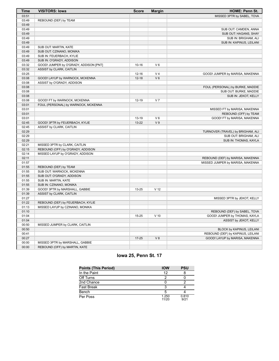| <b>Time</b> | <b>VISITORS: Iowa</b>                                               | <b>Score</b> | <b>Margin</b>  | <b>HOME: Penn St.</b>             |
|-------------|---------------------------------------------------------------------|--------------|----------------|-----------------------------------|
| 03:51       |                                                                     |              |                | MISSED 3PTR by SABEL, TOVA        |
| 03:49       | REBOUND (DEF) by TEAM                                               |              |                |                                   |
| 03:49       |                                                                     |              |                |                                   |
| 03:49       |                                                                     |              |                | SUB OUT: CAMDEN, ANNA             |
| 03:49       |                                                                     |              |                | SUB OUT: HAGANS, SHAY             |
| 03:49       |                                                                     |              |                | SUB IN: BRIGHAM, ALI              |
| 03:49       |                                                                     |              |                | SUB IN: KAPINUS, LEILANI          |
| 03:49       | SUB OUT: MARTIN, KATE                                               |              |                |                                   |
| 03:49       | SUB OUT: CZINANO, MONIKA                                            |              |                |                                   |
| 03:49       | SUB IN: FEUERBACH, KYLIE                                            |              |                |                                   |
| 03:49       | SUB IN: O'GRADY, ADDISON                                            |              |                |                                   |
| 03:32       | GOOD! JUMPER by O'GRADY, ADDISON [PNT]                              | $10 - 16$    | $V_6$          |                                   |
| 03:32       | ASSIST by CLARK, CAITLIN                                            |              |                |                                   |
| 03:25       |                                                                     | $12 - 16$    | V <sub>4</sub> | GOOD! JUMPER by MARISA, MAKENNA   |
| 03:08       | GOOD! LAYUP by WARNOCK, MCKENNA                                     | $12 - 18$    | $V_6$          |                                   |
| 03:08       | ASSIST by O'GRADY, ADDISON                                          |              |                |                                   |
| 03:08       |                                                                     |              |                | FOUL (PERSONAL) by BURKE, MADDIE  |
| 03:08       |                                                                     |              |                | SUB OUT: BURKE, MADDIE            |
| 03:08       |                                                                     |              |                | SUB IN: JEKOT, KELLY              |
| 03:08       |                                                                     | 12-19        | V <sub>7</sub> |                                   |
|             | GOOD! FT by WARNOCK, MCKENNA<br>FOUL (PERSONAL) by WARNOCK, MCKENNA |              |                |                                   |
| 03:01       |                                                                     |              |                |                                   |
| 03:01       |                                                                     |              |                | MISSED FT by MARISA, MAKENNA      |
| 03:01       |                                                                     |              |                | REBOUND (OFF) by TEAM             |
| 03:01       |                                                                     | 13-19        | $V_6$          | GOOD! FT by MARISA, MAKENNA       |
| 02:45       | GOOD! 3PTR by FEUERBACH, KYLIE                                      | $13 - 22$    | V <sub>9</sub> |                                   |
| 02:45       | ASSIST by CLARK, CAITLIN                                            |              |                |                                   |
| 02:29       |                                                                     |              |                | TURNOVER (TRAVEL) by BRIGHAM, ALI |
| 02:29       |                                                                     |              |                | SUB OUT: BRIGHAM, ALI             |
| 02:29       |                                                                     |              |                | SUB IN: THOMAS, KAYLA             |
| 02:21       | MISSED 3PTR by CLARK, CAITLIN                                       |              |                |                                   |
| 02:15       | REBOUND (OFF) by O'GRADY, ADDISON                                   |              |                |                                   |
| 02:14       | MISSED LAYUP by O'GRADY, ADDISON                                    |              |                |                                   |
| 02:11       |                                                                     |              |                | REBOUND (DEF) by MARISA, MAKENNA  |
| 01:57       |                                                                     |              |                | MISSED JUMPER by MARISA, MAKENNA  |
| 01:55       | REBOUND (DEF) by TEAM                                               |              |                |                                   |
| 01:55       | SUB OUT: WARNOCK, MCKENNA                                           |              |                |                                   |
| 01:55       | SUB OUT: O'GRADY, ADDISON                                           |              |                |                                   |
| 01:55       | SUB IN: MARTIN, KATE                                                |              |                |                                   |
| 01:55       | SUB IN: CZINANO, MONIKA                                             |              |                |                                   |
| 01:39       | GOOD! 3PTR by MARSHALL, GABBIE                                      | 13-25        | $V$ 12         |                                   |
| 01:39       | ASSIST by CLARK, CAITLIN                                            |              |                |                                   |
| 01:27       |                                                                     |              |                | MISSED 3PTR by JEKOT, KELLY       |
| 01:22       | REBOUND (DEF) by FEUERBACH, KYLIE                                   |              |                |                                   |
| 01:13       | MISSED LAYUP by CZINANO, MONIKA                                     |              |                |                                   |
| 01:10       |                                                                     |              |                | REBOUND (DEF) by SABEL, TOVA      |
| 01:04       |                                                                     | 15-25        | $V$ 10         | GOOD! JUMPER by THOMAS, KAYLA     |
| 01:04       |                                                                     |              |                | ASSIST by JEKOT, KELLY            |
| 00:50       | MISSED JUMPER by CLARK, CAITLIN                                     |              |                |                                   |
| 00:50       |                                                                     |              |                | BLOCK by KAPINUS, LEILANI         |
| 00:41       |                                                                     |              |                | REBOUND (DEF) by KAPINUS, LEILANI |
| 00:27       |                                                                     | $17 - 25$    | V8             | GOOD! LAYUP by MARISA, MAKENNA    |
| 00:00       | MISSED 3PTR by MARSHALL, GABBIE                                     |              |                |                                   |
| 00:00       | REBOUND (OFF) by MARTIN, KATE                                       |              |                |                                   |

# **Iowa 25, Penn St. 17**

| <b>Points (This Period)</b> | <b>IOW</b>     | <b>PSU</b>    |
|-----------------------------|----------------|---------------|
| In the Paint                | 12             |               |
| Off Turns                   |                |               |
| 2nd Chance                  |                |               |
| <b>Fast Break</b>           |                |               |
| Bench                       | 5              |               |
| Per Poss                    | 1.250<br>11/20 | 0.810<br>9/21 |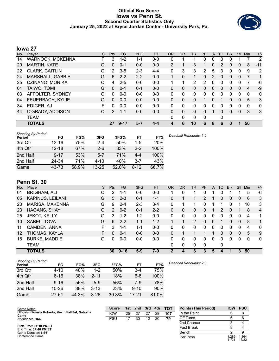### **Official Box Score Iowa vs Penn St. Second Quarter Statistics Only January 25, 2022 at Bryce Jordan Center - University Park, Pa.**



# **Iowa 27**

| No. | Plaver                  | S | <b>Pts</b>     | <b>FG</b> | 3FG     | <b>FT</b> | <b>OR</b>    | DR       | TR           | PF | A              | TO       | <b>Blk</b> | Stl      | Min      | $+/-$          |
|-----|-------------------------|---|----------------|-----------|---------|-----------|--------------|----------|--------------|----|----------------|----------|------------|----------|----------|----------------|
| 14  | <b>WARNOCK, MCKENNA</b> | F | 3              | $1 - 2$   | 1-1     | $0 - 0$   | 0            |          | 1            | 0  | 0              | 0        |            |          |          | $\overline{2}$ |
| 20  | <b>MARTIN, KATE</b>     | G | 0              | $0 - 1$   | $0 - 0$ | $0 - 0$   | 2            |          | 3            |    | 0              | 2        | 0          | 0        | 8        | $-11$          |
| 22  | <b>CLARK, CAITLIN</b>   | G | 12             | $3 - 5$   | $2 - 3$ | $4 - 4$   | 0            | 3        | 3            | 2  | 5              | 3        | 0          | 0        | 9        | 2              |
| 24  | MARSHALL, GABBIE        | G | 6              | $2 - 2$   | $2 - 2$ | $0 - 0$   | 1            | $\Omega$ | $\mathbf{1}$ | 0  | $\overline{2}$ | 0        | 0          | $\Omega$ | 7        | 1              |
| 25  | CZINANO, MONIKA         | С | 4              | $2 - 5$   | $0 - 0$ | $0 - 0$   | 1            |          | 2            | 2  | $\Omega$       | $\Omega$ | 0          | 0        |          | -6             |
| 01  | TAIWO, TOMI             | G | 0              | $0 - 1$   | $0 - 1$ | $0 - 0$   | $\mathbf{0}$ | 0        | 0            | 0  | $\mathbf{0}$   | $\Omega$ | 0          | $\Omega$ | 4        | $-9$           |
| 03  | AFFOLTER, SYDNEY        | G | 0              | $0 - 0$   | $0 - 0$ | $0 - 0$   | 0            | 0        | 0            | 0  | 0              | 0        | 0          | 0        | $\Omega$ | 0              |
| 04  | FEUERBACH, KYLIE        | G | $\Omega$       | $0 - 0$   | $0 - 0$ | $0 - 0$   | $\Omega$     | 0        | 0            |    | 0              |          | 0          | $\Omega$ | 5        | 3              |
| 34  | EDIGER, AJ              | F | 0              | $0 - 0$   | $0 - 0$ | $0 - 0$   | 0            | $\Omega$ | 0            | 0  | 0              | 0        | 0          | 0        | $\Omega$ | 0              |
| 44  | O'GRADY, ADDISON        | С | $\overline{2}$ | $1 - 1$   | $0-0$   | $0 - 0$   | $\Omega$     | 0        | 0            | 0  |                | 0        | 0          | 0        | 3        | 3              |
|     | <b>TEAM</b>             |   |                |           |         |           | $\Omega$     | 0        | 0            | 0  |                | 0        |            |          |          |                |
|     | <b>TOTALS</b>           |   | 27             | $9 - 17$  | $5 - 7$ | 4-4       | 4            | 6        | 10           | 6  | 8              | 6        | 0          |          | 50       |                |

| <b>Shooting By Period</b> |           |       |           |       |          |            |
|---------------------------|-----------|-------|-----------|-------|----------|------------|
| Period                    | FG        | FG%   | 3FG       | 3FG%  | FT       | FT%        |
| 3rd Qtr                   | $12 - 16$ | 75%   | $2 - 4$   | 50%   | $1-5$    | <b>20%</b> |
| 4th Qtr                   | $12 - 18$ | 67%   | $2-6$     | 33%   | $2 - 2$  | 100%       |
| 2nd Half                  | $9 - 17$  | 53%   | $5 - 7$   | 71%   | $4 - 4$  | 100%       |
| 2nd Half                  | 24-34     | 71%   | 4-10      | 40%   | $3 - 7$  | 43%        |
| Game                      | 43-73     | 58.9% | $13 - 25$ | 52.0% | $8 - 12$ | 66.7%      |

# **Penn St. 30**

| No. | Player                  | S  | Pts            | <b>FG</b> | 3FG     | <b>FT</b> | <b>OR</b> | <b>DR</b> | <b>TR</b>    | PF | A            | TO       | <b>Blk</b> | Stl      | Min | $+/-$        |
|-----|-------------------------|----|----------------|-----------|---------|-----------|-----------|-----------|--------------|----|--------------|----------|------------|----------|-----|--------------|
| 01  | <b>BRIGHAM, ALI</b>     | С  | 2              | $1 - 1$   | $0 - 0$ | $0 - 0$   |           | 0         |              | 0  |              |          |            |          | 5   | $-6$         |
| 05  | <b>KAPINUS, LEILANI</b> | G  | 5              | $2 - 3$   | $0 - 1$ | $1 - 1$   | 0         |           | 1            | 2  |              | 0        | 0          | $\Omega$ | 6   | 3            |
| 20  | MARISA, MAKENNA         | G  | 9              | $2 - 4$   | $2 - 3$ | $3 - 4$   | 0         |           | 1            | 0  |              |          | 0          |          | 10  | 3            |
| 23  | HAGANS, SHAY            | G  | $\overline{2}$ | $0 - 2$   | $0 - 1$ | $2 - 2$   | 0         | 0         | 0            | 0  |              | 2        | 0          |          | 8   | 4            |
| 25  | <b>JEKOT, KELLY</b>     | G  | 3              | $1 - 2$   | 1-2     | $0 - 0$   | 0         | 0         | 0            | 0  | 0            |          | 0          | 0        | 4   | 1            |
| 10  | SABEL, TOVA             | G  | 6              | $2 - 2$   | $1 - 1$ | $1 - 2$   |           |           | 2            | 0  | $\mathbf{0}$ |          | 0          | $\Omega$ | 8   | 1            |
| 11  | CAMDEN, ANNA            | F. | 3              | 1-1       | 1-1     | $0 - 0$   | 0         | 0         | 0            | 0  | 0            | 0        | 0          | 0        | 4   | $\mathbf{0}$ |
| 12  | THOMAS, KAYLA           | F. | 0              | $0 - 1$   | $0 - 0$ | $0 - 0$   | $\Omega$  |           |              |    |              | $\Omega$ | 0          | $\Omega$ | 5   | 9            |
| 15  | <b>BURKE, MADDIE</b>    | G  | U              | $0 - 0$   | $0 - 0$ | $0-0$     | 0         | 0         | $\Omega$     | 0  | 0            | 0        | 0          | 0        | 0   | $\mathbf 0$  |
|     | <b>TEAM</b>             |    |                |           |         |           | 0         | 0         | $\mathbf{0}$ | 0  |              | 0        |            |          |     |              |
|     | <b>TOTALS</b>           |    | 30             | $9 - 16$  | $5-9$   | 7-9       | 2         | 4         | 6            | 3  | 5            | 4        | 1          | 3        | 50  |              |

| <b>Shooting By Period</b><br>Period | FG        | FG%   | 3FG      | 3FG%  | FT        | FT%   |
|-------------------------------------|-----------|-------|----------|-------|-----------|-------|
| 3rd Qtr                             | 4-10      | 40%   | $1-2$    | 50%   | $3 - 4$   | 75%   |
| 4th Qtr                             | $6 - 16$  | 38%   | $2 - 11$ | 18%   | $6 - 6$   | 100%  |
| 2nd Half                            | $9 - 16$  | 56%   | $5-9$    | 56%   | 7-9       | 78%   |
| 2nd Half                            | $10 - 26$ | 38%   | $3 - 13$ | 23%   | $9 - 10$  | 90%   |
| Game                                | $27 - 61$ | 44.3% | $8 - 26$ | 30.8% | $17 - 21$ | 81.0% |

| Game Notes:                                        | <b>Score</b> | 1st \ | 2nd | 3rd | 4th | <b>TOT</b> | <b>Points (This Period)</b> | <b>IOW</b>    | <b>PSU</b>     |
|----------------------------------------------------|--------------|-------|-----|-----|-----|------------|-----------------------------|---------------|----------------|
| Officials: Beverly Roberts, Kevin Pethtel, Natasha | iow          | 25    | 27  | 27  | 28  | 107        | In the Paint                |               |                |
| Camy<br>Attendance: 1669                           | <b>PSU</b>   | 17    | 30  | 12  | 20  | 79         | Off Turns                   |               |                |
|                                                    |              |       |     |     |     |            | 2nd Chance                  |               |                |
| Start Time: 01:10 PM ET<br>End Time: 07:46 PM ET   |              |       |     |     |     |            | Fast Break                  |               |                |
| Game Duration: 6:36                                |              |       |     |     |     |            | <b>Bench</b>                |               |                |
| Conference Game;                                   |              |       |     |     |     |            | Per Poss                    | .286<br>11/21 | 1.364<br>13/22 |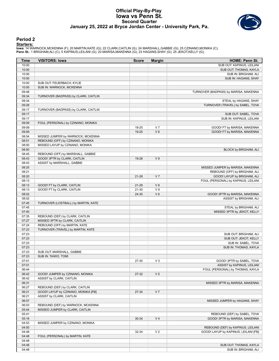#### **Official Play-By-Play Iowa vs Penn St. Second Quarter January 25, 2022 at Bryce Jordan Center - University Park, Pa.**



#### **Period 2**

<mark>Startersː</mark><br>Iowa: 14 WARNOCK,MCKENNA (F); 20 MARTIN,KATE (G); 22 CLARK,CAITLIN (G); 24 MARSHALL,GABBIE (G); 25 CZINANO,MONIKA (C);<br>**Penn St.**: 1 BRIGHAM,ALI (C); 5 KAPINUS,LEILANI (G); 20 MARISA,MAKENNA (G); 23 HAGANS,SHAY

| <b>Time</b>    | <b>VISITORS: Iowa</b>                                            | <b>Score</b> | <b>Margin</b>  | <b>HOME: Penn St.</b>                 |
|----------------|------------------------------------------------------------------|--------------|----------------|---------------------------------------|
| 10:00          |                                                                  |              |                | SUB OUT: KAPINUS, LEILANI             |
| 10:00          |                                                                  |              |                | SUB OUT: THOMAS, KAYLA                |
| 10:00          |                                                                  |              |                | SUB IN: BRIGHAM, ALI                  |
| 10:00          |                                                                  |              |                | SUB IN: HAGANS, SHAY                  |
| 10:00          | SUB OUT: FEUERBACH, KYLIE                                        |              |                |                                       |
| 10:00          | SUB IN: WARNOCK, MCKENNA                                         |              |                |                                       |
| 09:48          |                                                                  |              |                | TURNOVER (BADPASS) by MARISA, MAKENNA |
| 09:34          | TURNOVER (BADPASS) by CLARK, CAITLIN                             |              |                |                                       |
| 09:34<br>09:28 |                                                                  |              |                | STEAL by HAGANS, SHAY                 |
| 09:17          | TURNOVER (BADPASS) by CLARK, CAITLIN                             |              |                | TURNOVER (TRAVEL) by SABEL, TOVA      |
| 09:17          |                                                                  |              |                | SUB OUT: SABEL, TOVA                  |
| 09:17          |                                                                  |              |                | SUB IN: KAPINUS, LEILANI              |
| 09:09          | FOUL (PERSONAL) by CZINANO, MONIKA                               |              |                |                                       |
| 09:09          |                                                                  | 18-25        | V <sub>7</sub> | GOOD! FT by MARISA, MAKENNA           |
| 09:09          |                                                                  | 19-25        | $V_6$          | GOOD! FT by MARISA, MAKENNA           |
| 08:54          | MISSED JUMPER by WARNOCK, MCKENNA                                |              |                |                                       |
| 08:51          | REBOUND (OFF) by CZINANO, MONIKA                                 |              |                |                                       |
| 08:50          | MISSED LAYUP by CZINANO, MONIKA                                  |              |                |                                       |
| 08:50          |                                                                  |              |                | BLOCK by BRIGHAM, ALI                 |
| 08:45          | REBOUND (OFF) by MARSHALL, GABBIE                                |              |                |                                       |
| 08:43          | GOOD! 3PTR by CLARK, CAITLIN                                     | 19-28        | V <sub>9</sub> |                                       |
| 08:43          | ASSIST by MARSHALL, GABBIE                                       |              |                |                                       |
| 08:25          |                                                                  |              |                | MISSED JUMPER by MARISA, MAKENNA      |
| 08:21          |                                                                  |              |                | REBOUND (OFF) by BRIGHAM, ALI         |
| 08:20          |                                                                  | $21 - 28$    | V <sub>7</sub> | GOOD! LAYUP by BRIGHAM, ALI           |
| 08:13          |                                                                  |              |                | FOUL (PERSONAL) by KAPINUS, LEILANI   |
| 08:13          | GOOD! FT by CLARK, CAITLIN                                       | 21-29        | V8             |                                       |
| 08:13          | GOOD! FT by CLARK, CAITLIN                                       | $21 - 30$    | V <sub>9</sub> |                                       |
| 08:02          |                                                                  | 24-30        | $V_6$          | GOOD! 3PTR by MARISA, MAKENNA         |
| 08:02          |                                                                  |              |                | ASSIST by BRIGHAM, ALI                |
| 07:45          | TURNOVER (LOSTBALL) by MARTIN, KATE                              |              |                |                                       |
| 07:45          |                                                                  |              |                | STEAL by BRIGHAM, ALI                 |
| 07:40          |                                                                  |              |                | MISSED 3PTR by JEKOT, KELLY           |
| 07:35<br>07:27 | REBOUND (DEF) by CLARK, CAITLIN<br>MISSED 3PTR by CLARK, CAITLIN |              |                |                                       |
| 07:24          | REBOUND (OFF) by MARTIN, KATE                                    |              |                |                                       |
| 07:23          | TURNOVER (TRAVEL) by MARTIN, KATE                                |              |                |                                       |
| 07:23          |                                                                  |              |                | SUB OUT: BRIGHAM, ALI                 |
| 07:23          |                                                                  |              |                | SUB OUT: JEKOT, KELLY                 |
| 07:23          |                                                                  |              |                | SUB IN: SABEL, TOVA                   |
| 07:23          |                                                                  |              |                | SUB IN: THOMAS, KAYLA                 |
| 07:23          | SUB OUT: MARSHALL, GABBIE                                        |              |                |                                       |
| 07:23          | SUB IN: TAIWO, TOMI                                              |              |                |                                       |
| 07:01          |                                                                  | 27-30        | $V_3$          | GOOD! 3PTR by SABEL, TOVA             |
| 07:01          |                                                                  |              |                | ASSIST by KAPINUS, LEILANI            |
| 06:44          |                                                                  |              |                | FOUL (PERSONAL) by THOMAS, KAYLA      |
| 06:42          | GOOD! JUMPER by CZINANO, MONIKA                                  | 27-32        | V <sub>5</sub> |                                       |
| 06:42          | ASSIST by CLARK, CAITLIN                                         |              |                |                                       |
| 06:31          |                                                                  |              |                | MISSED 3PTR by MARISA, MAKENNA        |
| 06:27          | REBOUND (DEF) by CLARK, CAITLIN                                  |              |                |                                       |
| 06:21          | GOOD! LAYUP by CZINANO, MONIKA [FB]                              | 27-34        | V <sub>7</sub> |                                       |
| 06:21          | ASSIST by CLARK, CAITLIN                                         |              |                |                                       |
| 06:07          |                                                                  |              |                | MISSED JUMPER by HAGANS, SHAY         |
| 06:03          | REBOUND (DEF) by WARNOCK, MCKENNA                                |              |                |                                       |
| 05:44          | MISSED JUMPER by CLARK, CAITLIN                                  |              |                |                                       |
| 05:41          |                                                                  |              |                | REBOUND (DEF) by SABEL, TOVA          |
| 05:16          |                                                                  | 30-34        | V <sub>4</sub> | GOOD! 3PTR by MARISA, MAKENNA         |
| 04:53          | MISSED JUMPER by CZINANO, MONIKA                                 |              |                |                                       |
| 04:50          |                                                                  |              |                | REBOUND (DEF) by KAPINUS, LEILANI     |
| 04:48          |                                                                  | 32-34        | V <sub>2</sub> | GOOD! LAYUP by KAPINUS, LEILANI [FB]  |
| 04:48          | FOUL (PERSONAL) by MARTIN, KATE                                  |              |                |                                       |
| 04:48<br>04:48 |                                                                  |              |                | SUB OUT: THOMAS, KAYLA                |
| 04:48          |                                                                  |              |                | SUB IN: BRIGHAM, ALI                  |
|                |                                                                  |              |                |                                       |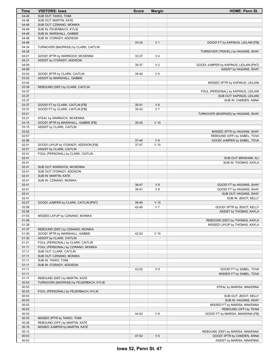| Time           | <b>VISITORS: Iowa</b>                                                   | <b>Score</b> | <b>Margin</b>  | <b>HOME: Penn St.</b>                             |
|----------------|-------------------------------------------------------------------------|--------------|----------------|---------------------------------------------------|
| 04:48          | SUB OUT: TAIWO, TOMI                                                    |              |                |                                                   |
| 04:48          | SUB OUT: MARTIN, KATE                                                   |              |                |                                                   |
| 04:48          | SUB OUT: CZINANO, MONIKA                                                |              |                |                                                   |
| 04:48          | SUB IN: FEUERBACH, KYLIE                                                |              |                |                                                   |
| 04:48          | SUB IN: MARSHALL, GABBIE                                                |              |                |                                                   |
| 04:48          | SUB IN: O'GRADY, ADDISON                                                |              |                |                                                   |
| 04:48          |                                                                         | 33-34        | V <sub>1</sub> | GOOD! FT by KAPINUS, LEILANI [FB]                 |
| 04:34          | TURNOVER (BADPASS) by CLARK, CAITLIN                                    |              |                |                                                   |
| 04:28          |                                                                         |              |                | TURNOVER (TRAVEL) by HAGANS, SHAY                 |
| 04:21          | GOOD! 3PTR by WARNOCK, MCKENNA                                          | 33-37        | V <sub>4</sub> |                                                   |
| 04:21          | ASSIST by O'GRADY, ADDISON                                              |              |                |                                                   |
| 04:09          |                                                                         | 35-37        | V <sub>2</sub> | GOOD! JUMPER by KAPINUS, LEILANI [PNT]            |
| 04:09          |                                                                         |              |                | ASSIST by HAGANS, SHAY                            |
| 03:53          | GOOD! 3PTR by CLARK, CAITLIN                                            | 35-40        | V <sub>5</sub> |                                                   |
| 03:53          | ASSIST by MARSHALL, GABBIE                                              |              |                |                                                   |
| 03:42          |                                                                         |              |                | MISSED 3PTR by KAPINUS, LEILANI                   |
| 03:39<br>03:37 | REBOUND (DEF) by CLARK, CAITLIN                                         |              |                |                                                   |
| 03:37          |                                                                         |              |                | FOUL (PERSONAL) by KAPINUS, LEILANI               |
| 03:37          |                                                                         |              |                | SUB OUT: KAPINUS, LEILANI<br>SUB IN: CAMDEN, ANNA |
| 03:37          | GOOD! FT by CLARK, CAITLIN [FB]                                         | $35 - 41$    | $V_6$          |                                                   |
| 03:37          | GOOD! FT by CLARK, CAITLIN [FB]                                         | 35-42        | V <sub>7</sub> |                                                   |
| 03:21          |                                                                         |              |                | TURNOVER (BADPASS) by HAGANS, SHAY                |
| 03:21          | STEAL by WARNOCK, MCKENNA                                               |              |                |                                                   |
| 03:15          | GOOD! 3PTR by MARSHALL, GABBIE [FB]                                     | 35-45        | $V$ 10         |                                                   |
| 03:15          | ASSIST by CLARK, CAITLIN                                                |              |                |                                                   |
| 03:02          |                                                                         |              |                | MISSED 3PTR by HAGANS, SHAY                       |
| 02:57          |                                                                         |              |                | REBOUND (OFF) by SABEL, TOVA                      |
| 02:56          |                                                                         | 37-45        | V8             | GOOD! JUMPER by SABEL, TOVA                       |
| 02:51          | GOOD! LAYUP by O'GRADY, ADDISON [FB]                                    | 37-47        | $V$ 10         |                                                   |
| 02:51          | ASSIST by CLARK, CAITLIN                                                |              |                |                                                   |
| 02:41          | FOUL (PERSONAL) by CLARK, CAITLIN                                       |              |                |                                                   |
| 02:41          |                                                                         |              |                | SUB OUT: BRIGHAM, ALI                             |
| 02:41          |                                                                         |              |                | SUB IN: THOMAS, KAYLA                             |
| 02:41          | SUB OUT: WARNOCK, MCKENNA                                               |              |                |                                                   |
| 02:41          | SUB OUT: O'GRADY, ADDISON                                               |              |                |                                                   |
| 02:41          | SUB IN: MARTIN, KATE                                                    |              |                |                                                   |
| 02:41          | SUB IN: CZINANO, MONIKA                                                 |              |                |                                                   |
| 02:41          |                                                                         | 38-47        | V <sub>9</sub> | GOOD! FT by HAGANS, SHAY                          |
| 02:41          |                                                                         | 39-47        | V8             | GOOD! FT by HAGANS, SHAY                          |
| 02:41          |                                                                         |              |                | SUB OUT: HAGANS, SHAY                             |
| 02:41          |                                                                         |              |                | SUB IN: JEKOT, KELLY                              |
| 02:27          | GOOD! JUMPER by CLARK, CAITLIN [PNT]                                    | 39-49        | $V$ 10         |                                                   |
| 02:08          |                                                                         | 42-49        | V <sub>7</sub> | GOOD! 3PTR by JEKOT, KELLY                        |
| 02:08          |                                                                         |              |                | ASSIST by THOMAS, KAYLA                           |
| 01:53          | MISSED LAYUP by CZINANO, MONIKA                                         |              |                |                                                   |
| 01:49          |                                                                         |              |                | REBOUND (DEF) by THOMAS, KAYLA                    |
| 01:39          |                                                                         |              |                | MISSED LAYUP by THOMAS, KAYLA                     |
| 01:37          | REBOUND (DEF) by CZINANO, MONIKA                                        |              |                |                                                   |
| 01:30<br>01:30 | GOOD! 3PTR by MARSHALL, GABBIE                                          | 42-52        | $V$ 10         |                                                   |
|                | ASSIST by CLARK, CAITLIN                                                |              |                |                                                   |
| 01:21<br>01:11 | FOUL (PERSONAL) by CLARK, CAITLIN<br>FOUL (PERSONAL) by CZINANO, MONIKA |              |                |                                                   |
| 01:11          | SUB OUT: CLARK, CAITLIN                                                 |              |                |                                                   |
| 01:11          | SUB OUT: CZINANO, MONIKA                                                |              |                |                                                   |
| 01:11          | SUB IN: TAIWO, TOMI                                                     |              |                |                                                   |
| 01:11          | SUB IN: O'GRADY, ADDISON                                                |              |                |                                                   |
| 01:11          |                                                                         | 43-52        | V <sub>9</sub> | GOOD! FT by SABEL, TOVA                           |
| 01:11          |                                                                         |              |                | MISSED FT by SABEL, TOVA                          |
| 01:11          | REBOUND (DEF) by MARTIN, KATE                                           |              |                |                                                   |
| 00:53          | TURNOVER (BADPASS) by FEUERBACH, KYLIE                                  |              |                |                                                   |
| 00:53          |                                                                         |              |                | STEAL by MARISA, MAKENNA                          |
| 00:53          | FOUL (PERSONAL) by FEUERBACH, KYLIE                                     |              |                |                                                   |
| 00:53          |                                                                         |              |                | SUB OUT: JEKOT, KELLY                             |
| 00:53          |                                                                         |              |                | SUB IN: HAGANS, SHAY                              |
| 00:53          |                                                                         |              |                | MISSED FT by MARISA, MAKENNA                      |
| 00:53          |                                                                         |              |                | REBOUND (OFF) by TEAM                             |
| 00:53          |                                                                         | 44-52        | V8             | GOOD! FT by MARISA, MAKENNA [FB]                  |
| 00:33          | MISSED 3PTR by TAIWO, TOMI                                              |              |                |                                                   |
| 00:28          | REBOUND (OFF) by MARTIN, KATE                                           |              |                |                                                   |
| 00:16          | MISSED JUMPER by MARTIN, KATE                                           |              |                |                                                   |
| 00:13          |                                                                         |              |                | REBOUND (DEF) by MARISA, MAKENNA                  |
| 00:03          |                                                                         | 47-52        | V <sub>5</sub> | GOOD! 3PTR by CAMDEN, ANNA                        |
| 00:03          |                                                                         |              |                | ASSIST by MARISA, MAKENNA                         |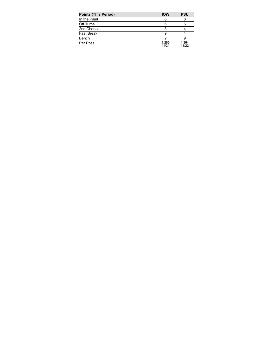| <b>Points (This Period)</b> | <b>IOW</b>     | <b>PSU</b>     |
|-----------------------------|----------------|----------------|
| In the Paint                | 6              |                |
| Off Turns                   | 6              |                |
| 2nd Chance                  |                |                |
| <b>Fast Break</b>           |                |                |
| Bench                       |                |                |
| Per Poss                    | 1.286<br>11/21 | 1.364<br>13/22 |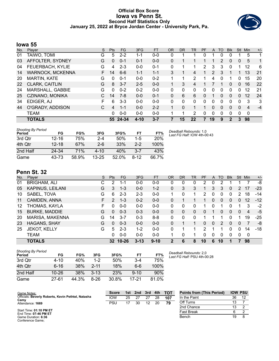### **Official Box Score Iowa vs Penn St. Second Half Statistics Only January 25, 2022 at Bryce Jordan Center - University Park, Pa.**



### **Iowa 55**

| No. | Plaver                  | S  | <b>Pts</b> | <b>FG</b> | 3FG      | <b>FT</b> | <b>OR</b> | DR       | TR | PF | A        | TO | <b>Blk</b> | Stl          | Min            | $+/-$ |
|-----|-------------------------|----|------------|-----------|----------|-----------|-----------|----------|----|----|----------|----|------------|--------------|----------------|-------|
| 01  | TAIWO, TOMI             | G  | 5          | $2 - 2$   | 1-1      | $0 - 0$   | 0         |          |    | 0  |          | 0  | 0          |              | 5              | 1     |
| 03  | AFFOLTER, SYDNEY        | G  | 0          | $0 - 1$   | $0 - 1$  | $0 - 0$   | $\Omega$  |          |    |    |          | 2  | 0          | $\mathbf{0}$ | 5              | 1     |
| 04  | FEUERBACH, KYLIE        | G  | 4          | $2 - 3$   | $0 - 0$  | $0 - 1$   | $\Omega$  |          |    | 2  | 3        | 3  | 0          |              | 12             | 6     |
| 14  | <b>WARNOCK, MCKENNA</b> | F. | 14         | $6 - 6$   | $1 - 1$  | $1 - 1$   | 3         |          | 4  |    | 2        | 3  |            |              | 13             | 21    |
| 20  | <b>MARTIN, KATE</b>     | G  | 0          | 0-1       | $0 - 0$  | $0 - 2$   |           |          | 2  |    | 4        | 0  |            |              | 15             | 20    |
| 22  | CLARK, CAITLIN          | G  | 8          | $3 - 7$   | $2 - 5$  | $0 - 0$   | 1         | 3        | 4  |    |          |    | 0          | $\Omega$     | 16             | 22    |
| 24  | MARSHALL, GABBIE        | G  | 0          | $0 - 2$   | $0 - 2$  | $0 - 0$   | 0         | 0        | 0  | 0  | $\Omega$ | 0  | 0          | $\Omega$     | 12             | 21    |
| 25  | CZINANO, MONIKA         | C  | 14         | $7-8$     | $0 - 0$  | $0 - 1$   | $\Omega$  | 6        | 6  | 0  |          | 0  | 0          | $\Omega$     | 12             | 24    |
| 34  | EDIGER, AJ              | F  | 6          | $3 - 3$   | $0 - 0$  | $0 - 0$   | 0         | 0        | 0  | 0  | $\Omega$ | 0  | 0          | $\Omega$     | 3              | 3     |
| 44  | O'GRADY, ADDISON        | C  | 4          | $1 - 1$   | $0 - 0$  | $2 - 2$   |           | $\Omega$ |    |    | 0        | 0  | 0          | $\Omega$     | $\overline{4}$ | $-4$  |
|     | TEAM                    |    | 0          | $0 - 0$   | $0 - 0$  | $0 - 0$   |           |          | 2  | 0  | $\Omega$ | 0  | 0          | $\Omega$     | $\mathbf 0$    |       |
|     | <b>TOTALS</b>           |    |            | 55 24-34  | $4 - 10$ | 3-7       |           | 15       | 22 |    | 19       | 9  | 2          | 3            | 98             |       |

| <b>Shooting By Period</b><br>Period | FG        | FG%   | 3FG       | 3FG%  | FT.      | FT%   | Deadball Rebounds: 1,0<br>Last FG Half: IOW 4th-00:43 |
|-------------------------------------|-----------|-------|-----------|-------|----------|-------|-------------------------------------------------------|
| 3rd Qtr                             | $12 - 16$ | 75%   | $2 - 4$   | 50%   | $1-5$    | 20%   |                                                       |
| 4th Otr                             | $12 - 18$ | 67%   | $2 - 6$   | 33%   | $2 - 2$  | 100%  |                                                       |
| 2nd Half                            | 24-34     | 71%   | $4 - 10$  | 40%   | $3 - 7$  | 43%   |                                                       |
| Game                                | 43-73     | 58.9% | $13 - 25$ | 52.0% | $8 - 12$ | 66.7% |                                                       |

## **Penn St. 32**

| No. | Player                  | S  | <b>Pts</b> | FG.      | 3FG      | <b>FT</b> | <b>OR</b> | D <sub>R</sub> | TR | PF | $\mathsf{A}$ | TO       | <b>Blk</b> | Stl          | Min. | $+/-$ |
|-----|-------------------------|----|------------|----------|----------|-----------|-----------|----------------|----|----|--------------|----------|------------|--------------|------|-------|
| 01  | <b>BRIGHAM, ALI</b>     | С  | 2          | 1-1      | $0-0$    | $0-0$     | 0         | 0              | 0  | 2  | 0            | 2        |            |              |      | -8    |
| 05  | <b>KAPINUS, LEILANI</b> | G  | 3          | $1 - 3$  | $0 - 0$  | $1 - 2$   | $\Omega$  | 3              | 3  |    | 3            | 3        | 0          | 2            | 17   | $-23$ |
| 10  | SABEL, TOVA             | G  | 6          | $2 - 3$  | $2 - 3$  | $0-0$     |           | 0              | 1  | 2  | 0            | 0        | 0          | 2            | 18   | $-14$ |
| 11  | CAMDEN, ANNA            | F. | 2          | $1 - 3$  | $0 - 2$  | $0 - 0$   | 0         |                |    |    | 0            | 0        | 0          | $\Omega$     | 12   | $-12$ |
| 12  | THOMAS, KAYLA           | F. | 0          | $0 - 0$  | $0 - 0$  | $0-0$     | 0         | 0              | 0  |    | 0            |          | 0          |              | 3    | $-2$  |
| 15  | <b>BURKE, MADDIE</b>    | G  | $\Omega$   | $0 - 3$  | $0 - 3$  | $0 - 0$   | $\Omega$  | 0              | 0  | 0  |              | 0        | $\Omega$   | 0            | 4    | -5    |
| 20  | <b>MARISA, MAKENNA</b>  | G  | 14         | $3 - 7$  | $0 - 3$  | $8 - 8$   | 0         | 0              | 0  |    |              |          | 0          |              | 19   | $-25$ |
| 23  | HAGANS, SHAY            | G  | 0          | $0 - 3$  | $0 - 0$  | $0 - 0$   | 0         |                |    | 0  | $\mathbf{0}$ | 2        | 0          | $\mathbf{0}$ | 7    | -8    |
| 25  | <b>JEKOT, KELLY</b>     | G  | 5          | $2 - 3$  | $1 - 2$  | $0 - 0$   | 0         |                | 1  | 2  |              |          | 0          | $\Omega$     | 14   | $-18$ |
|     | TEAM                    |    | 0          | $0 - 0$  | $0 - 0$  | $0-0$     | 1         | 0              | 1  | 0  | $\Omega$     | $\Omega$ | 0          | $\Omega$     | 0    |       |
|     | <b>TOTALS</b>           |    |            | 32 10-26 | $3 - 13$ | $9 - 10$  | 2         | 6              | 8  | 10 | 6            | 10       |            |              | 98   |       |

| <b>Shooting By Period</b><br>Period | FG        | FG%   | 3FG      | 3FG%       | FТ       | FT%   |
|-------------------------------------|-----------|-------|----------|------------|----------|-------|
| 3rd Otr                             | 4-10      | 40%   | $1-2$    | 50%        | $3-4$    | 75%   |
| 4th Qtr                             | $6 - 16$  | 38%   | $2 - 11$ | 18%        | 6-6      | 100%  |
| 2nd Half                            | $10 - 26$ | 38%   | $3-13$   | <b>23%</b> | $9 - 10$ | 90%   |
| Game                                | 27-61     | 44.3% | 8-26     | 30.8%      | 17-21    | 81.0% |

*Deadball Rebounds:* 2,0 *Last FG Half:* PSU 4th-00:28

| Game Notes:                                                | <b>Score</b> | 1st | 2nd | 3rd | 4th | <b>TOT</b> | <b>Points from (This Period)</b> | <b>IOW PSU</b> |  |
|------------------------------------------------------------|--------------|-----|-----|-----|-----|------------|----------------------------------|----------------|--|
| Officials: Beverly Roberts, Kevin Pethtel, Natasha<br>Camy | <b>IOW</b>   | 25  |     | 27  | 28  | 107        | In the Paint                     | 36             |  |
| Attendance: 1669                                           | PSU          |     | 30  | 12  | 20  | 79         | Off Turns                        |                |  |
|                                                            |              |     |     |     |     |            | 2nd Chance                       | 13             |  |
| Start Time: 01:10 PM ET<br>End Time: 07:46 PM ET           |              |     |     |     |     |            | Fast Break                       |                |  |
| Game Duration: 6:36<br>Conference Game;                    |              |     |     |     |     |            | Bench                            | 19             |  |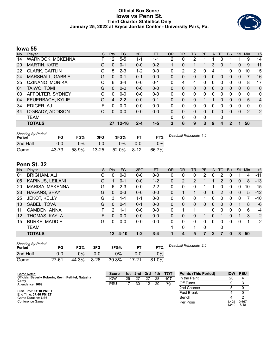### **Official Box Score Iowa vs Penn St. Third Quarter Statistics Only January 25, 2022 at Bryce Jordan Center - University Park, Pa.**



# **Iowa 55**

| No. | Plaver                  | S | Pts      | <b>FG</b> | 3FG     | <b>FT</b> | <b>OR</b> | DR       | TR       | PF | A        | TO       | <b>Blk</b>   | Stl      | Min      | $+/-$          |
|-----|-------------------------|---|----------|-----------|---------|-----------|-----------|----------|----------|----|----------|----------|--------------|----------|----------|----------------|
| 14  | <b>WARNOCK, MCKENNA</b> | F | 12       | $5 - 5$   | 1-1     | 1-1       | 2         | 0        | 2        |    |          | 3        |              |          | 9        | 14             |
| 20  | <b>MARTIN, KATE</b>     | G | 0        | $0 - 1$   | $0 - 0$ | $0 - 2$   |           | $\Omega$ |          |    | 3        | 0        |              | 0        | 9        | 11             |
| 22  | <b>CLARK, CAITLIN</b>   | G | 5        | $2 - 3$   | 1-2     | $0 - 0$   | 0         | 2        | 2        | 0  | 4        |          | 0            | 0        | 10       | 15             |
| 24  | MARSHALL, GABBIE        | G | 0        | $0 - 1$   | $0 - 1$ | $0 - 0$   | $\Omega$  | 0        | 0        | 0  | $\Omega$ | $\Omega$ | 0            | 0        |          | 16             |
| 25  | CZINANO, MONIKA         | С | 6        | $3 - 4$   | $0 - 0$ | $0 - 1$   | 0         | 4        | 4        | 0  | 0        | $\Omega$ | 0            | 0        | 8        | 17             |
| 01  | TAIWO, TOMI             | G | 0        | $0 - 0$   | $0 - 0$ | $0 - 0$   | $\Omega$  | $\Omega$ | $\Omega$ | 0  | $\Omega$ | $\Omega$ | $\Omega$     | $\Omega$ | $\Omega$ | $\Omega$       |
| 03  | AFFOLTER, SYDNEY        | G | $\Omega$ | $0 - 0$   | $0 - 0$ | $0 - 0$   | 0         | $\Omega$ | 0        | 0  | 0        | $\Omega$ | 0            | 0        | $\Omega$ | $\mathbf{0}$   |
| 04  | FEUERBACH, KYLIE        | G | 4        | $2 - 2$   | $0 - 0$ | $0 - 1$   | $\Omega$  | 0        | 0        |    |          | $\Omega$ | 0            | 0        | 5        | $\overline{4}$ |
| 34  | EDIGER, AJ              | F | n        | $0 - 0$   | $0 - 0$ | $0 - 0$   | 0         | 0        | 0        | 0  | 0        | 0        | 0            | 0        | 0        | 0              |
| 44  | O'GRADY, ADDISON        | С | 0        | $0 - 0$   | $0 - 0$ | $0 - 0$   | $\Omega$  | $\Omega$ | 0        | 0  | $\Omega$ | $\Omega$ | $\Omega$     | $\Omega$ | 2        | $-2$           |
|     | <b>TEAM</b>             |   |          |           |         |           | 0         | 0        | 0        | 0  |          | 0        |              |          |          |                |
|     | <b>TOTALS</b>           |   | 27       | $12 - 16$ | $2 - 4$ | $1 - 5$   | 3         | 6        | 9        | 3  | 9        | 4        | $\mathbf{2}$ | 1        | 50       |                |

| <b>Shooting By Period</b><br>Period | FG    | FG%   | 3FG       | 3FG%  |          | FT%   | Deadball Rebounds: 1,0 |
|-------------------------------------|-------|-------|-----------|-------|----------|-------|------------------------|
| 2nd Half                            | 0-0   | 0%    | 0-0       | 0%    | 0-0      | 0%    |                        |
| Game                                | 43-73 | 58.9% | $13 - 25$ | 52.0% | $8 - 12$ | 66.7% |                        |

# **Penn St. 32**

| No.               | Plaver                  | S | <b>Pts</b> | <b>FG</b> | 3FG     | <b>FT</b> | 0R | <b>DR</b> | TR       | <b>PF</b> | A            | TO | <b>Blk</b> | Stl      | Min | $+/-$ |
|-------------------|-------------------------|---|------------|-----------|---------|-----------|----|-----------|----------|-----------|--------------|----|------------|----------|-----|-------|
| 01                | <b>BRIGHAM, ALI</b>     | С | 0          | $0 - 0$   | $0-0$   | $0 - 0$   | 0  | 0         | 0        | 2         | 0            | 2  | O          |          | 4   | $-11$ |
| 05                | <b>KAPINUS, LEILANI</b> | G |            | $0 - 1$   | $0 - 0$ | $1 - 2$   | 0  | 2         | 2        |           |              | 2  | 0          | $\Omega$ | 8   | $-13$ |
| 20                | MARISA, MAKENNA         | G | 6          | $2 - 3$   | $0-0$   | $2 - 2$   | 0  | 0         | 0        |           |              | 0  | 0          | 0        | 10  | -15   |
| 23                | <b>HAGANS, SHAY</b>     | G | $\Omega$   | $0 - 3$   | $0 - 0$ | $0 - 0$   | 0  |           |          | $\Omega$  | $\mathbf{0}$ | 2  | 0          | 0        | 5   | $-12$ |
| 25                | <b>JEKOT, KELLY</b>     | G | 3          | $1 - 1$   | 1-1     | $0 - 0$   | 0  | 0         | 0        |           | 0            | 0  | 0          | 0        |     | $-10$ |
| 10                | SABEL, TOVA             | G | $\Omega$   | $0 - 1$   | $0 - 1$ | $0 - 0$   | 0  | 0         | 0        | $\Omega$  | $\Omega$     | 0  | 0          |          | 8   | -6    |
| 11                | CAMDEN, ANNA            | F | 2          | $1 - 1$   | $0 - 0$ | $0 - 0$   | 0  |           |          |           | $\Omega$     | 0  | 0          | 0        | 6   | -4    |
| $12 \overline{ }$ | THOMAS, KAYLA           | F | 0          | $0 - 0$   | $0 - 0$ | $0 - 0$   | 0  | 0         | 0        |           | 0            |    | 0          |          | 3   | $-2$  |
| 15                | <b>BURKE, MADDIE</b>    | G | 0          | $0 - 0$   | $0 - 0$ | $0 - 0$   | 0  | 0         | $\Omega$ | 0         | 0            | 0  | 0          | 0        | 1   | $-2$  |
|                   | <b>TEAM</b>             |   |            |           |         |           |    | 0         |          | 0         |              | 0  |            |          |     |       |
|                   | <b>TOTALS</b>           |   | 12         | $4 - 10$  | $1 - 2$ | $3 - 4$   |    | 4         | 5        |           | 2            |    | 0          | 3        | 50  |       |
|                   |                         |   |            |           |         |           |    |           |          |           |              |    |            |          |     |       |

| <b>Shooting By Period</b><br>Period | FG        | FG%   | 3FG      | 3FG%  | FT.   | FT%   | Deadball I |
|-------------------------------------|-----------|-------|----------|-------|-------|-------|------------|
| 2nd Half                            | 0-0       | 0%    | 0-0      | 0%    | ი-ი   | $0\%$ |            |
| Game                                | $27 - 61$ | 44.3% | $8 - 26$ | 30.8% | 17-21 | 81.0% |            |

*Deadball Rebounds:* 2,0

| Game Notes:                                                | <b>Score</b> | 1st | 2 <sub>nd</sub> | 3rd | 4th | <b>TOT</b> | <b>Points (This Period)</b> | <b>IOW</b>    | <b>PSU</b>    |
|------------------------------------------------------------|--------------|-----|-----------------|-----|-----|------------|-----------------------------|---------------|---------------|
| Officials: Beverly Roberts, Kevin Pethtel, Natasha<br>Camv | iow          | 25  |                 | 27  | 28  | 107        | In the Paint                | 20            |               |
| Attendance: 1669                                           | PSU          | 17  | 30              | 12  | 20  | 79         | Off Turns                   |               |               |
|                                                            |              |     |                 |     |     |            | 2nd Chance                  |               |               |
| Start Time: 01:10 PM ET<br>End Time: 07:46 PM ET           |              |     |                 |     |     |            | <b>Fast Break</b>           |               |               |
| Game Duration: 6:36                                        |              |     |                 |     |     |            | Bench                       |               |               |
| Conference Game:                                           |              |     |                 |     |     |            | Per Poss                    | .421<br>13/19 | 0.667<br>6/18 |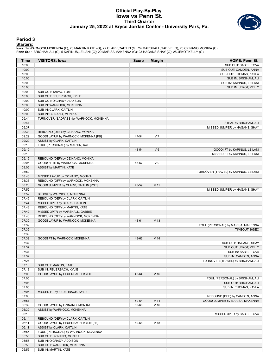#### **Official Play-By-Play Iowa vs Penn St. Third Quarter January 25, 2022 at Bryce Jordan Center - University Park, Pa.**



#### **Period 3**

<mark>Startersː</mark><br>Iowa: 14 WARNOCK,MCKENNA (F); 20 MARTIN,KATE (G); 22 CLARK,CAITLIN (G); 24 MARSHALL,GABBIE (G); 25 CZINANO,MONIKA (C);<br>**Penn St.**: 1 BRIGHAM,ALI (C); 5 KAPINUS,LEILANI (G); 20 MARISA,MAKENNA (G); 23 HAGANS,SHAY

| Time  | <b>VISITORS: Iowa</b>                  | <b>Score</b> | <b>Margin</b>   | <b>HOME: Penn St.</b>                 |
|-------|----------------------------------------|--------------|-----------------|---------------------------------------|
| 10:00 |                                        |              |                 | SUB OUT: SABEL, TOVA                  |
| 10:00 |                                        |              |                 | SUB OUT: CAMDEN, ANNA                 |
| 10:00 |                                        |              |                 | SUB OUT: THOMAS, KAYLA                |
| 10:00 |                                        |              |                 | SUB IN: BRIGHAM, ALI                  |
| 10:00 |                                        |              |                 | SUB IN: KAPINUS, LEILANI              |
| 10:00 |                                        |              |                 | SUB IN: JEKOT, KELLY                  |
| 10:00 | SUB OUT: TAIWO, TOMI                   |              |                 |                                       |
| 10:00 | SUB OUT: FEUERBACH, KYLIE              |              |                 |                                       |
| 10:00 | SUB OUT: O'GRADY, ADDISON              |              |                 |                                       |
| 10:00 | SUB IN: WARNOCK, MCKENNA               |              |                 |                                       |
| 10:00 | SUB IN: CLARK, CAITLIN                 |              |                 |                                       |
| 10:00 | SUB IN: CZINANO, MONIKA                |              |                 |                                       |
| 09:44 | TURNOVER (BADPASS) by WARNOCK, MCKENNA |              |                 |                                       |
| 09:44 |                                        |              |                 | STEAL by BRIGHAM, ALI                 |
| 09:37 |                                        |              |                 | MISSED JUMPER by HAGANS, SHAY         |
| 09:34 | REBOUND (DEF) by CZINANO, MONIKA       |              |                 |                                       |
| 09:29 | GOOD! LAYUP by WARNOCK, MCKENNA [FB]   | 47-54        | V <sub>7</sub>  |                                       |
| 09:29 | ASSIST by CLARK, CAITLIN               |              |                 |                                       |
| 09:19 | FOUL (PERSONAL) by MARTIN, KATE        |              |                 |                                       |
| 09:19 |                                        | 48-54        | $V_6$           | GOOD! FT by KAPINUS, LEILANI          |
| 09:19 |                                        |              |                 | MISSED FT by KAPINUS, LEILANI         |
| 09:19 | REBOUND (DEF) by CZINANO, MONIKA       |              |                 |                                       |
| 09:06 | GOOD! 3PTR by WARNOCK, MCKENNA         | 48-57        | V <sub>9</sub>  |                                       |
| 09:06 | ASSIST by MARTIN, KATE                 |              |                 |                                       |
| 08:52 |                                        |              |                 | TURNOVER (TRAVEL) by KAPINUS, LEILANI |
| 08:40 | MISSED LAYUP by CZINANO, MONIKA        |              |                 |                                       |
| 08:36 | REBOUND (OFF) by WARNOCK, MCKENNA      |              |                 |                                       |
| 08:23 | GOOD! JUMPER by CLARK, CAITLIN [PNT]   | 48-59        | V <sub>11</sub> |                                       |
| 07:52 |                                        |              |                 | MISSED JUMPER by HAGANS, SHAY         |
| 07:52 | BLOCK by WARNOCK, MCKENNA              |              |                 |                                       |
| 07:46 | REBOUND (DEF) by CLARK, CAITLIN        |              |                 |                                       |
| 07:44 | MISSED 3PTR by CLARK, CAITLIN          |              |                 |                                       |
| 07:43 | REBOUND (OFF) by MARTIN, KATE          |              |                 |                                       |
| 07:42 | MISSED 3PTR by MARSHALL, GABBIE        |              |                 |                                       |
| 07:40 | REBOUND (OFF) by WARNOCK, MCKENNA      |              |                 |                                       |
| 07:39 | GOOD! LAYUP by WARNOCK, MCKENNA        | 48-61        | V <sub>13</sub> |                                       |
| 07:39 |                                        |              |                 | FOUL (PERSONAL) by MARISA, MAKENNA    |
| 07:39 |                                        |              |                 | <b>TIMEOUT 30SEC</b>                  |
| 07:39 |                                        |              |                 |                                       |
| 07:39 | GOOD! FT by WARNOCK, MCKENNA           | 48-62        | V <sub>14</sub> |                                       |
| 07:37 |                                        |              |                 | SUB OUT: HAGANS, SHAY                 |
| 07:37 |                                        |              |                 | SUB OUT: JEKOT, KELLY                 |
| 07:37 |                                        |              |                 | SUB IN: SABEL, TOVA                   |
| 07:37 |                                        |              |                 | SUB IN: CAMDEN, ANNA                  |
| 07:27 |                                        |              |                 | TURNOVER (TRAVEL) by BRIGHAM, ALI     |
| 07:18 | SUB OUT: MARTIN, KATE                  |              |                 |                                       |
| 07:18 | SUB IN: FEUERBACH, KYLIE               |              |                 |                                       |
| 07:05 | GOOD! LAYUP by FEUERBACH, KYLIE        | 48-64        | $V$ 16          |                                       |
| 07:05 |                                        |              |                 | FOUL (PERSONAL) by BRIGHAM, ALI       |
| 07:05 |                                        |              |                 | SUB OUT: BRIGHAM, ALI                 |
| 07:05 |                                        |              |                 | SUB IN: THOMAS, KAYLA                 |
| 07:05 | MISSED FT by FEUERBACH, KYLIE          |              |                 |                                       |
| 07:03 |                                        |              |                 | REBOUND (DEF) by CAMDEN, ANNA         |
| 06:51 |                                        | 50-64        | V <sub>14</sub> | GOOD! JUMPER by MARISA, MAKENNA       |
| 06:39 | GOOD! LAYUP by CZINANO, MONIKA         | 50-66        | $V$ 16          |                                       |
| 06:39 | ASSIST by WARNOCK, MCKENNA             |              |                 |                                       |
| 06:19 |                                        |              |                 | MISSED 3PTR by SABEL, TOVA            |
| 06:14 | REBOUND (DEF) by CLARK, CAITLIN        |              |                 |                                       |
| 06:11 | GOOD! LAYUP by FEUERBACH, KYLIE [FB]   | 50-68        | V <sub>18</sub> |                                       |
| 06:11 | ASSIST by CLARK, CAITLIN               |              |                 |                                       |
| 05:55 | FOUL (PERSONAL) by WARNOCK, MCKENNA    |              |                 |                                       |
| 05:55 | SUB OUT: CZINANO, MONIKA               |              |                 |                                       |
| 05:55 | SUB IN: O'GRADY, ADDISON               |              |                 |                                       |
| 05:55 | SUB OUT: WARNOCK, MCKENNA              |              |                 |                                       |
| 05:55 | SUB IN: MARTIN, KATE                   |              |                 |                                       |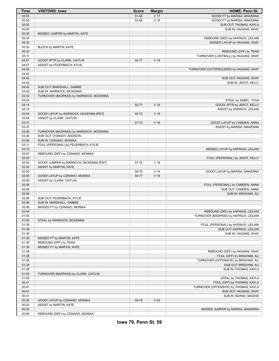| <b>Time</b>    | <b>VISITORS: Iowa</b>                                      | <b>Score</b> | <b>Margin</b>   | <b>HOME: Penn St.</b>                  |
|----------------|------------------------------------------------------------|--------------|-----------------|----------------------------------------|
| 05:55          |                                                            | 51-68        | V <sub>17</sub> | GOOD! FT by MARISA, MAKENNA            |
| 05:55          |                                                            | 52-68        | V <sub>16</sub> | GOOD! FT by MARISA, MAKENNA            |
| 05:55          |                                                            |              |                 | SUB OUT: THOMAS, KAYLA                 |
| 05:55          |                                                            |              |                 | SUB IN: HAGANS, SHAY                   |
| 05:36          | MISSED JUMPER by MARTIN, KATE                              |              |                 |                                        |
| 05:34          |                                                            |              |                 | REBOUND (DEF) by KAPINUS, LEILANI      |
| 05:32          |                                                            |              |                 | MISSED LAYUP by HAGANS, SHAY           |
| 05:32          | BLOCK by MARTIN, KATE                                      |              |                 |                                        |
| 05:32          |                                                            |              |                 | REBOUND (OFF) by TEAM                  |
| 05:11          |                                                            |              |                 | TURNOVER (LOSTBALL) by HAGANS, SHAY    |
| 04:57          | GOOD! 3PTR by CLARK, CAITLIN                               | 52-71        | $V$ 19          |                                        |
| 04:57          | ASSIST by FEUERBACH, KYLIE                                 |              |                 |                                        |
| 04:42<br>04:42 |                                                            |              |                 | TURNOVER (OUTOFBOUNDS) by HAGANS, SHAY |
| 04:42          |                                                            |              |                 | SUB OUT: HAGANS, SHAY                  |
| 04:42          |                                                            |              |                 | SUB IN: JEKOT, KELLY                   |
| 04:42          | SUB OUT: MARSHALL, GABBIE                                  |              |                 |                                        |
| 04:42          | SUB IN: WARNOCK, MCKENNA                                   |              |                 |                                        |
| 04:23          | TURNOVER (BADPASS) by WARNOCK, MCKENNA                     |              |                 |                                        |
| 04:23          |                                                            |              |                 | STEAL by SABEL, TOVA                   |
| 04:14          |                                                            | 55-71        | V <sub>16</sub> | GOOD! 3PTR by JEKOT, KELLY             |
| 04:14          |                                                            |              |                 | ASSIST by KAPINUS, LEILANI             |
| 03:54          | GOOD! LAYUP by WARNOCK, MCKENNA [PNT]                      | 55-73        | V <sub>18</sub> |                                        |
| 03:54          | ASSIST by CLARK, CAITLIN                                   |              |                 |                                        |
| 03:37          |                                                            | 57-73        | V <sub>16</sub> | GOOD! LAYUP by CAMDEN, ANNA            |
| 03:37          |                                                            |              |                 | ASSIST by MARISA, MAKENNA              |
| 03:26          | TURNOVER (BADPASS) by WARNOCK, MCKENNA                     |              |                 |                                        |
| 03:26          | SUB OUT: O'GRADY, ADDISON                                  |              |                 |                                        |
| 03:26          | SUB IN: CZINANO, MONIKA                                    |              |                 |                                        |
| 03:11          | FOUL (PERSONAL) by FEUERBACH, KYLIE                        |              |                 |                                        |
| 03:10          |                                                            |              |                 | MISSED LAYUP by KAPINUS, LEILANI       |
| 03:07          | REBOUND (DEF) by CZINANO, MONIKA                           |              |                 |                                        |
| 02:50          |                                                            |              |                 | FOUL (PERSONAL) by JEKOT, KELLY        |
| 02:50          | GOOD! JUMPER by WARNOCK, MCKENNA [PNT]                     | 57-75        | V <sub>18</sub> |                                        |
| 02:50          | ASSIST by MARTIN, KATE                                     |              |                 |                                        |
| 02:50          |                                                            | 59-75        | V <sub>16</sub> | GOOD! LAYUP by MARISA, MAKENNA         |
| 02:06<br>02:06 | GOOD! LAYUP by CZINANO, MONIKA<br>ASSIST by CLARK, CAITLIN | 59-77        | V <sub>18</sub> |                                        |
| 02:06          |                                                            |              |                 | FOUL (PERSONAL) by CAMDEN, ANNA        |
| 02:06          |                                                            |              |                 | SUB OUT: CAMDEN, ANNA                  |
| 02:06          |                                                            |              |                 | SUB IN: BRIGHAM, ALI                   |
| 02:06          | SUB OUT: FEUERBACH, KYLIE                                  |              |                 |                                        |
| 02:06          | SUB IN: MARSHALL, GABBIE                                   |              |                 |                                        |
| 02:06          | MISSED FT by CZINANO, MONIKA                               |              |                 |                                        |
| 02:04          |                                                            |              |                 | REBOUND (DEF) by KAPINUS, LEILANI      |
| 01:50          |                                                            |              |                 | TURNOVER (BADPASS) by KAPINUS, LEILANI |
| 01:50          | STEAL by WARNOCK, MCKENNA                                  |              |                 |                                        |
| 01:39          |                                                            |              |                 | FOUL (PERSONAL) by KAPINUS, LEILANI    |
| 01:39          |                                                            |              |                 | SUB OUT: KAPINUS, LEILANI              |
| 01:39          |                                                            |              |                 | SUB IN: HAGANS, SHAY                   |
| 01:39          | MISSED FT by MARTIN, KATE                                  |              |                 |                                        |
| 01:39          | REBOUND (OFF) by TEAM                                      |              |                 |                                        |
| 01:39          | MISSED FT by MARTIN, KATE                                  |              |                 |                                        |
| 01:38          |                                                            |              |                 | REBOUND (DEF) by HAGANS, SHAY          |
| 01:28          |                                                            |              |                 | FOUL (OFF) by BRIGHAM, ALI             |
| 01:28          |                                                            |              |                 | TURNOVER (OFFENSIVE) by BRIGHAM, ALI   |
| 01:28          |                                                            |              |                 | SUB OUT: BRIGHAM, ALI                  |
| 01:28<br>01:05 | TURNOVER (BADPASS) by CLARK, CAITLIN                       |              |                 | SUB IN: THOMAS, KAYLA                  |
| 01:05          |                                                            |              |                 | STEAL by THOMAS, KAYLA                 |
| 00:41          |                                                            |              |                 | FOUL (OFF) by THOMAS, KAYLA            |
| 00:41          |                                                            |              |                 | TURNOVER (OFFENSIVE) by THOMAS, KAYLA  |
| 00:41          |                                                            |              |                 | SUB OUT: HAGANS, SHAY                  |
| 00:41          |                                                            |              |                 | SUB IN: BURKE, MADDIE                  |
| 00:20          | GOOD! LAYUP by CZINANO, MONIKA                             | 59-79        | V <sub>20</sub> |                                        |
| 00:20          | ASSIST by MARTIN, KATE                                     |              |                 |                                        |
| 00:02          |                                                            |              |                 | MISSED JUMPER by MARISA, MAKENNA       |
| 00:00          | REBOUND (DEF) by CZINANO, MONIKA                           |              |                 |                                        |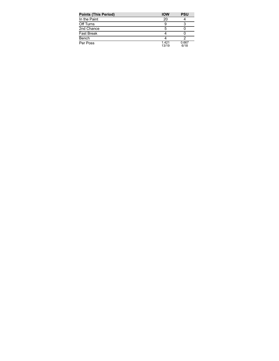| <b>Points (This Period)</b> | <b>IOW</b>     | <b>PSU</b>    |
|-----------------------------|----------------|---------------|
| In the Paint                | 20             |               |
| Off Turns                   | 9              |               |
| 2nd Chance                  | 5              |               |
| <b>Fast Break</b>           |                |               |
| Bench                       |                |               |
| Per Poss                    | 1.421<br>13/19 | 0.667<br>6/18 |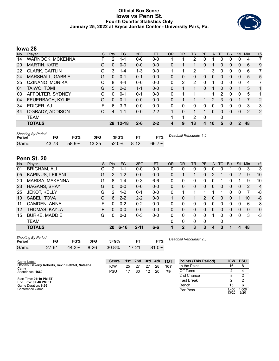### **Official Box Score Iowa vs Penn St. Fourth Quarter Statistics Only January 25, 2022 at Bryce Jordan Center - University Park, Pa.**



# **Iowa 28**

| No. | Plaver                  | S | <b>Pts</b> | FG.      | 3FG     | <b>FT</b> | <b>OR</b> | D <sub>R</sub> | TR | PF | A            | TO       | <b>Blk</b>   | Stl          | Min           | $+/-$ |
|-----|-------------------------|---|------------|----------|---------|-----------|-----------|----------------|----|----|--------------|----------|--------------|--------------|---------------|-------|
| 14  | <b>WARNOCK, MCKENNA</b> | F | 2          | 1-1      | $0 - 0$ | $0 - 0$   |           |                | 2  | 0  |              | $\Omega$ |              | 0            | 4             | 7     |
| 20  | <b>MARTIN, KATE</b>     | G | 0          | $0 - 0$  | $0 - 0$ | $0 - 0$   | 0         |                |    | 0  |              | 0        | 0            | 0            | 6             | 9     |
| 22  | <b>CLARK, CAITLIN</b>   | G | 3          | 1-4      | 1-3     | $0 - 0$   |           |                | 2  |    | 3            | 0        | 0            | 0            | 6             | 7     |
| 24  | MARSHALL, GABBIE        | G | 0          | $0 - 1$  | $0 - 1$ | $0 - 0$   | $\Omega$  | $\mathbf{0}$   | 0  | 0  | $\mathbf{0}$ | 0        | $\mathbf{0}$ | $\mathbf{0}$ | 5             | 5     |
| 25  | CZINANO, MONIKA         | С | 8          | $4 - 4$  | $0 - 0$ | $0 - 0$   | 0         | $\mathcal{P}$  | 2  | 0  |              | 0        | $\Omega$     | 0            | 4             | 7     |
| 01  | TAIWO, TOMI             | G | 5          | $2 - 2$  | $1 - 1$ | $0 - 0$   | 0         |                |    | 0  |              | $\Omega$ | $\Omega$     |              | 5             | 1     |
| 03  | AFFOLTER, SYDNEY        | G | 0          | $0 - 1$  | $0 - 1$ | $0 - 0$   | 0         |                |    |    |              | 2        | 0            | $\mathbf{0}$ | 5             | 1     |
| 04  | FEUERBACH, KYLIE        | G | 0          | $0 - 1$  | $0 - 0$ | $0 - 0$   | $\Omega$  |                |    |    | 2            | 3        | $\Omega$     |              | 7             | 2     |
| 34  | EDIGER, AJ              | F | 6          | $3 - 3$  | $0 - 0$ | $0 - 0$   | 0         | $\Omega$       | 0  | 0  | $\Omega$     | 0        | $\Omega$     | $\Omega$     | 3             | 3     |
| 44  | O'GRADY, ADDISON        | С | 4          | $1 - 1$  | $0 - 0$ | $2 - 2$   | 1         | $\Omega$       | 1  | 1  | $\Omega$     | 0        | $\Omega$     | $\Omega$     | $\mathcal{P}$ | $-2$  |
|     | <b>TEAM</b>             |   |            |          |         |           |           |                | 2  | 0  |              | 0        |              |              |               |       |
|     | <b>TOTALS</b>           |   |            | 28 12-18 | $2 - 6$ | $2 - 2$   | 4         | 9              | 13 | 4  | 10           | 5        | 0            | $\mathbf{2}$ | 48            |       |
|     |                         |   |            |          |         |           |           |                |    |    |              |          |              |              |               |       |

| <b>Shooting By Period</b><br>Period | FG    | FG%   | 3FG | 3FG%        | FТ    | FT%   | Deadball Rebounds: 1,0 |
|-------------------------------------|-------|-------|-----|-------------|-------|-------|------------------------|
| Game                                | 43-73 | 58.9% |     | 13-25 52.0% | -8-12 | 66.7% |                        |

# **Penn St. 20**

| No. | Plaver               | S | <b>Pts</b>    | <b>FG</b> | 3FG      | <b>FT</b> | <b>OR</b> | DR | TR | PF | A            | TO       | <b>Blk</b> | Stl          | Min | $+/-$          |
|-----|----------------------|---|---------------|-----------|----------|-----------|-----------|----|----|----|--------------|----------|------------|--------------|-----|----------------|
| 01  | <b>BRIGHAM, ALI</b>  | С | 2             | $1 - 1$   | $0-0$    | $0-0$     | 0         | 0  | 0  | 0  | 0            |          |            | 0            | 3   | -3             |
| 05  | KAPINUS, LEILANI     | G | 2             | $1 - 2$   | $0 - 0$  | $0-0$     | 0         |    | 1  | 0  | 2            |          | 0          | 2            | 9   | $-10$          |
| 20  | MARISA, MAKENNA      | G | 8             | $1 - 4$   | $0 - 3$  | $6-6$     | 0         | 0  | 0  | 0  | 0            |          | 0          |              | 9   | $-10$          |
| 23  | <b>HAGANS, SHAY</b>  | G | 0             | $0 - 0$   | $0 - 0$  | $0-0$     | $\Omega$  | 0  | 0  | 0  | $\Omega$     | 0        | $\Omega$   | $\mathbf{0}$ | 2   | $\overline{4}$ |
| 25  | <b>JEKOT, KELLY</b>  | G | $\mathcal{P}$ | $1 - 2$   | $0 - 1$  | $0 - 0$   | 0         |    | 1  |    |              |          | 0          | 0            |     | -8             |
| 10  | SABEL, TOVA          | G | 6             | $2 - 2$   | $2 - 2$  | $0 - 0$   |           | 0  | 1  | 2  | 0            | 0        | 0          |              | 10  | -8             |
| 11  | CAMDEN, ANNA         | F | 0             | $0 - 2$   | $0 - 2$  | $0 - 0$   | 0         | 0  | 0  | 0  | 0            | 0        | 0          | 0            | 6   | -8             |
| 12  | THOMAS, KAYLA        | F | 0             | $0 - 0$   | $0 - 0$  | $0 - 0$   | $\Omega$  | 0  | 0  | 0  | $\mathbf{0}$ | $\Omega$ | 0          | $\Omega$     | 0   | $\mathbf{0}$   |
| 15  | <b>BURKE, MADDIE</b> | G | U             | $0 - 3$   | $0 - 3$  | $0 - 0$   | 0         | 0  | 0  | 0  | 1            | $\Omega$ | 0          | 0            | 3   | $-3$           |
|     | TEAM                 |   |               |           |          |           | 0         | 0  | 0  | 0  |              | 0        |            |              |     |                |
|     | <b>TOTALS</b>        |   | 20            | $6 - 16$  | $2 - 11$ | $6 - 6$   |           | 2  | 3  | 3  | 4            | 3        | 1          | Д            | 48  |                |

| <b>Shooting By Period</b><br>Period | FG        | FG%   | 3FG    | 3FG%     | FТ        | FT%   | Dea |
|-------------------------------------|-----------|-------|--------|----------|-----------|-------|-----|
| Game                                | $27 - 61$ | 44.3% | $8-26$ | $30.8\%$ | $17 - 21$ | 81.0% |     |

*Deadball Rebounds:* 2,0

| Game Notes:                                                | <b>Score</b> |    | 1st 2nd | 3rd | 4th | <b>- тот</b> | <b>Points (This Period)</b> | <b>IOW</b>    | <b>PSU</b>    |
|------------------------------------------------------------|--------------|----|---------|-----|-----|--------------|-----------------------------|---------------|---------------|
| Officials: Beverly Roberts, Kevin Pethtel, Natasha<br>Camy | <b>IOW</b>   | 25 | 27      | 27  | 28  | 107          | In the Paint                | 16            |               |
| Attendance: 1669                                           | PSU          |    | 30      | 12  | 20  | 79           | Off Turns                   |               |               |
|                                                            |              |    |         |     |     |              | 2nd Chance                  |               |               |
| Start Time: 01:10 PM ET<br>End Time: 07:46 PM ET           |              |    |         |     |     |              | Fast Break                  |               |               |
| Game Duration: 6:36                                        |              |    |         |     |     |              | Bench                       | 15            |               |
| Conference Game:                                           |              |    |         |     |     |              | Per Poss                    | .400<br>13/20 | 000.1<br>9/20 |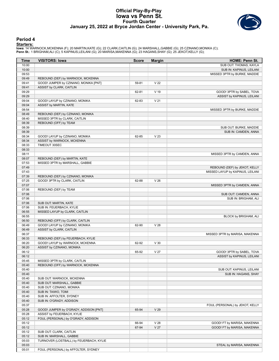#### **Official Play-By-Play Iowa vs Penn St. Fourth Quarter January 25, 2022 at Bryce Jordan Center - University Park, Pa.**



#### **Period 4**

<mark>Startersː</mark><br>Iowa: 14 WARNOCK,MCKENNA (F); 20 MARTIN,KATE (G); 22 CLARK,CAITLIN (G); 24 MARSHALL,GABBIE (G); 25 CZINANO,MONIKA (C);<br>**Penn St.**: 1 BRIGHAM,ALI (C); 5 KAPINUS,LEILANI (G); 20 MARISA,MAKENNA (G); 23 HAGANS,SHAY

| <b>Time</b>    | <b>VISITORS: Iowa</b>                                      | <b>Score</b> | <b>Margin</b>   | <b>HOME: Penn St.</b>            |
|----------------|------------------------------------------------------------|--------------|-----------------|----------------------------------|
| 10:00          |                                                            |              |                 | SUB OUT: THOMAS, KAYLA           |
| 10:00          |                                                            |              |                 | SUB IN: KAPINUS, LEILANI         |
| 09:53          |                                                            |              |                 | MISSED 3PTR by BURKE, MADDIE     |
| 09:49          | REBOUND (DEF) by WARNOCK, MCKENNA                          |              |                 |                                  |
| 09:41          | GOOD! JUMPER by CZINANO, MONIKA [PNT]                      | 59-81        | V <sub>22</sub> |                                  |
| 09:41          | ASSIST by CLARK, CAITLIN                                   |              |                 |                                  |
| 09:29          |                                                            | 62-81        | V 19            | GOOD! 3PTR by SABEL, TOVA        |
| 09:29          |                                                            |              |                 | ASSIST by KAPINUS, LEILANI       |
| 09:04          | GOOD! LAYUP by CZINANO, MONIKA                             | 62-83        | V <sub>21</sub> |                                  |
| 09:04          | ASSIST by MARTIN, KATE                                     |              |                 |                                  |
| 08:54          |                                                            |              |                 | MISSED 3PTR by BURKE, MADDIE     |
| 08:49          | REBOUND (DEF) by CZINANO, MONIKA                           |              |                 |                                  |
| 08:40          | MISSED 3PTR by CLARK, CAITLIN                              |              |                 |                                  |
| 08:39          | REBOUND (OFF) by TEAM                                      |              |                 |                                  |
| 08:39          |                                                            |              |                 | SUB OUT: BURKE, MADDIE           |
| 08:39          |                                                            |              |                 | SUB IN: CAMDEN, ANNA             |
| 08:34          | GOOD! LAYUP by CZINANO, MONIKA                             | 62-85        | V <sub>23</sub> |                                  |
| 08:34          | ASSIST by WARNOCK, MCKENNA                                 |              |                 |                                  |
| 08:33          | TIMEOUT 30SEC                                              |              |                 |                                  |
| 08:33          |                                                            |              |                 |                                  |
| 08:11          |                                                            |              |                 | MISSED 3PTR by CAMDEN, ANNA      |
| 08:07          | REBOUND (DEF) by MARTIN, KATE                              |              |                 |                                  |
| 07:53          | MISSED 3PTR by MARSHALL, GABBIE                            |              |                 |                                  |
| 07:49          |                                                            |              |                 | REBOUND (DEF) by JEKOT, KELLY    |
| 07:43          |                                                            |              |                 | MISSED LAYUP by KAPINUS, LEILANI |
| 07:39          | REBOUND (DEF) by CZINANO, MONIKA                           |              |                 |                                  |
| 07:25          | GOOD! 3PTR by CLARK, CAITLIN                               | 62-88        | V <sub>26</sub> |                                  |
| 07:07          |                                                            |              |                 | MISSED 3PTR by CAMDEN, ANNA      |
| 07:06          | REBOUND (DEF) by TEAM                                      |              |                 |                                  |
| 07:06          |                                                            |              |                 | SUB OUT: CAMDEN, ANNA            |
| 07:06          |                                                            |              |                 | SUB IN: BRIGHAM, ALI             |
| 07:06          | SUB OUT: MARTIN, KATE                                      |              |                 |                                  |
| 07:06          | SUB IN: FEUERBACH, KYLIE                                   |              |                 |                                  |
| 06:55          | MISSED LAYUP by CLARK, CAITLIN                             |              |                 |                                  |
| 06:55          |                                                            |              |                 | BLOCK by BRIGHAM, ALI            |
| 06:50          | REBOUND (OFF) by CLARK, CAITLIN                            |              |                 |                                  |
| 06:49<br>06:49 | GOOD! LAYUP by CZINANO, MONIKA<br>ASSIST by CLARK, CAITLIN | 62-90        | V <sub>28</sub> |                                  |
| 06:37          |                                                            |              |                 | MISSED 3PTR by MARISA, MAKENNA   |
| 06:33          | REBOUND (DEF) by FEUERBACH, KYLIE                          |              |                 |                                  |
| 06:20          | GOOD! LAYUP by WARNOCK, MCKENNA                            | 62-92        | V <sub>30</sub> |                                  |
| 06:20          | ASSIST by CZINANO, MONIKA                                  |              |                 |                                  |
| 06:12          |                                                            | 65-92        | V 27            | GOOD! 3PTR by SABEL, TOVA        |
| 06:12          |                                                            |              |                 | ASSIST by KAPINUS, LEILANI       |
| 05:45          | MISSED 3PTR by CLARK, CAITLIN                              |              |                 |                                  |
| 05:40          | REBOUND (OFF) by WARNOCK, MCKENNA                          |              |                 |                                  |
| 05:40          |                                                            |              |                 | SUB OUT: KAPINUS, LEILANI        |
| 05:40          |                                                            |              |                 | SUB IN: HAGANS, SHAY             |
| 05:40          | SUB OUT: WARNOCK, MCKENNA                                  |              |                 |                                  |
| 05:40          | SUB OUT: MARSHALL, GABBIE                                  |              |                 |                                  |
| 05:40          | SUB OUT: CZINANO, MONIKA                                   |              |                 |                                  |
| 05:40          | SUB IN: TAIWO, TOMI                                        |              |                 |                                  |
| 05:40          | SUB IN: AFFOLTER, SYDNEY                                   |              |                 |                                  |
| 05:40          | SUB IN: O'GRADY, ADDISON                                   |              |                 |                                  |
| 05:37          |                                                            |              |                 | FOUL (PERSONAL) by JEKOT, KELLY  |
| 05:28          | GOOD! JUMPER by O'GRADY, ADDISON [PNT]                     | 65-94        | V <sub>29</sub> |                                  |
| 05:28          | ASSIST by FEUERBACH, KYLIE                                 |              |                 |                                  |
| 05:12          | FOUL (PERSONAL) by O'GRADY, ADDISON                        |              |                 |                                  |
| 05:12          |                                                            | 66-94        | V <sub>28</sub> | GOOD! FT by MARISA, MAKENNA      |
| 05:12          |                                                            | 67-94        | V <sub>27</sub> | GOOD! FT by MARISA, MAKENNA      |
| 05:12          | SUB OUT: CLARK, CAITLIN                                    |              |                 |                                  |
| 05:12          | SUB IN: MARSHALL, GABBIE                                   |              |                 |                                  |
| 05:03          | TURNOVER (LOSTBALL) by FEUERBACH, KYLIE                    |              |                 |                                  |
| 05:03          |                                                            |              |                 | STEAL by MARISA, MAKENNA         |
| 05:01          | FOUL (PERSONAL) by AFFOLTER, SYDNEY                        |              |                 |                                  |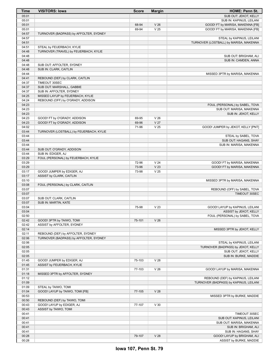| Time           | <b>VISITORS: Iowa</b>                                                 | <b>Score</b> | <b>Margin</b>   | <b>HOME: Penn St.</b>                                               |
|----------------|-----------------------------------------------------------------------|--------------|-----------------|---------------------------------------------------------------------|
| 05:01          |                                                                       |              |                 | SUB OUT: JEKOT, KELLY                                               |
| 05:01          |                                                                       |              |                 | SUB IN: KAPINUS, LEILANI                                            |
| 05:01          |                                                                       | 68-94        | V <sub>26</sub> | GOOD! FT by MARISA, MAKENNA [FB]                                    |
| 05:01          |                                                                       | 69-94        | V <sub>25</sub> | GOOD! FT by MARISA, MAKENNA [FB]                                    |
| 04:57<br>04:57 | TURNOVER (BADPASS) by AFFOLTER, SYDNEY                                |              |                 |                                                                     |
| 04:51          |                                                                       |              |                 | STEAL by KAPINUS, LEILANI<br>TURNOVER (LOSTBALL) by MARISA, MAKENNA |
| 04:51          | STEAL by FEUERBACH, KYLIE                                             |              |                 |                                                                     |
| 04:48          | TURNOVER (TRAVEL) by FEUERBACH, KYLIE                                 |              |                 |                                                                     |
| 04:48          |                                                                       |              |                 | SUB OUT: BRIGHAM, ALI                                               |
| 04:48          |                                                                       |              |                 | SUB IN: CAMDEN, ANNA                                                |
| 04:48          | SUB OUT: AFFOLTER, SYDNEY                                             |              |                 |                                                                     |
| 04:48          | SUB IN: CLARK, CAITLIN                                                |              |                 |                                                                     |
| 04:44          |                                                                       |              |                 | MISSED 3PTR by MARISA, MAKENNA                                      |
| 04:41          | REBOUND (DEF) by CLARK, CAITLIN                                       |              |                 |                                                                     |
| 04:37          | TIMEOUT 30SEC                                                         |              |                 |                                                                     |
| 04:37          | SUB OUT: MARSHALL, GABBIE                                             |              |                 |                                                                     |
| 04:37          | SUB IN: AFFOLTER, SYDNEY                                              |              |                 |                                                                     |
| 04:25<br>04:24 | MISSED LAYUP by FEUERBACH, KYLIE<br>REBOUND (OFF) by O'GRADY, ADDISON |              |                 |                                                                     |
| 04:23          |                                                                       |              |                 | FOUL (PERSONAL) by SABEL, TOVA                                      |
| 04:23          |                                                                       |              |                 | SUB OUT: MARISA, MAKENNA                                            |
| 04:23          |                                                                       |              |                 | SUB IN: JEKOT, KELLY                                                |
| 04:23          | GOOD! FT by O'GRADY, ADDISON                                          | 69-95        | V <sub>26</sub> |                                                                     |
| 04:23          | GOOD! FT by O'GRADY, ADDISON                                          | 69-96        | V <sub>27</sub> |                                                                     |
| 04:02          |                                                                       | 71-96        | V <sub>25</sub> | GOOD! JUMPER by JEKOT, KELLY [PNT]                                  |
| 03:44          | TURNOVER (LOSTBALL) by FEUERBACH, KYLIE                               |              |                 |                                                                     |
| 03:44          |                                                                       |              |                 | STEAL by SABEL, TOVA                                                |
| 03:44          |                                                                       |              |                 | SUB OUT: HAGANS, SHAY                                               |
| 03:44          |                                                                       |              |                 | SUB IN: MARISA, MAKENNA                                             |
| 03:44<br>03:44 | SUB OUT: O'GRADY, ADDISON<br>SUB IN: EDIGER, AJ                       |              |                 |                                                                     |
| 03:29          | FOUL (PERSONAL) by FEUERBACH, KYLIE                                   |              |                 |                                                                     |
| 03:29          |                                                                       | 72-96        | V <sub>24</sub> | GOOD! FT by MARISA, MAKENNA                                         |
| 03:29          |                                                                       | 73-96        | V <sub>23</sub> | GOOD! FT by MARISA, MAKENNA                                         |
| 03:17          | GOOD! JUMPER by EDIGER, AJ                                            | 73-98        | V <sub>25</sub> |                                                                     |
| 03:17          | ASSIST by CLARK, CAITLIN                                              |              |                 |                                                                     |
| 03:10          |                                                                       |              |                 | MISSED 3PTR by MARISA, MAKENNA                                      |
| 03:08          | FOUL (PERSONAL) by CLARK, CAITLIN                                     |              |                 |                                                                     |
| 03:07          |                                                                       |              |                 | REBOUND (OFF) by SABEL, TOVA                                        |
| 03:07          |                                                                       |              |                 | TIMEOUT 30SEC                                                       |
| 03:07<br>03:07 | SUB OUT: CLARK, CAITLIN<br>SUB IN: MARTIN, KATE                       |              |                 |                                                                     |
| 03:04          |                                                                       | 75-98        | V <sub>23</sub> | GOOD! LAYUP by KAPINUS, LEILANI                                     |
| 03:04          |                                                                       |              |                 | ASSIST by JEKOT, KELLY                                              |
| 02:50          |                                                                       |              |                 | FOUL (PERSONAL) by SABEL, TOVA                                      |
| 02:42          | GOOD! 3PTR by TAIWO, TOMI                                             | 75-101       | V <sub>26</sub> |                                                                     |
| 02:42          | ASSIST by AFFOLTER, SYDNEY                                            |              |                 |                                                                     |
| 02:14          |                                                                       |              |                 | MISSED 3PTR by JEKOT, KELLY                                         |
| 02:11          | REBOUND (DEF) by AFFOLTER, SYDNEY                                     |              |                 |                                                                     |
| 02:06          | TURNOVER (BADPASS) by AFFOLTER, SYDNEY                                |              |                 |                                                                     |
| 02:06          |                                                                       |              |                 | STEAL by KAPINUS, LEILANI                                           |
| 02:05<br>02:05 |                                                                       |              |                 | TURNOVER (BADPASS) by JEKOT, KELLY<br>SUB OUT: JEKOT, KELLY         |
| 02:05          |                                                                       |              |                 | SUB IN: BURKE, MADDIE                                               |
| 01:45          | GOOD! JUMPER by EDIGER, AJ                                            | 75-103       | V <sub>28</sub> |                                                                     |
| 01:45          | ASSIST by FEUERBACH, KYLIE                                            |              |                 |                                                                     |
| 01:31          |                                                                       | 77-103       | V <sub>26</sub> | GOOD! LAYUP by MARISA, MAKENNA                                      |
| 01:18          | MISSED 3PTR by AFFOLTER, SYDNEY                                       |              |                 |                                                                     |
| 01:12          |                                                                       |              |                 | REBOUND (DEF) by KAPINUS, LEILANI                                   |
| 01:09          |                                                                       |              |                 | TURNOVER (BADPASS) by KAPINUS, LEILANI                              |
| 01:09          | STEAL by TAIWO, TOMI                                                  |              |                 |                                                                     |
| 01:04          | GOOD! LAYUP by TAIWO, TOMI [FB]                                       | 77-105       | V <sub>28</sub> |                                                                     |
| 00:53          |                                                                       |              |                 | MISSED 3PTR by BURKE, MADDIE                                        |
| 00:50<br>00:43 | REBOUND (DEF) by TAIWO, TOMI<br>GOOD! LAYUP by EDIGER, AJ             | 77-107       | V <sub>30</sub> |                                                                     |
| 00:43          | ASSIST by TAIWO, TOMI                                                 |              |                 |                                                                     |
| 00:41          |                                                                       |              |                 | TIMEOUT 30SEC                                                       |
| 00:41          |                                                                       |              |                 | SUB OUT: KAPINUS, LEILANI                                           |
| 00:41          |                                                                       |              |                 | SUB OUT: MARISA, MAKENNA                                            |
| 00:41          |                                                                       |              |                 | SUB IN: BRIGHAM, ALI                                                |
| 00:41          |                                                                       |              |                 | SUB IN: HAGANS, SHAY                                                |
| 00:28          |                                                                       | 79-107       | V <sub>28</sub> | GOOD! LAYUP by BRIGHAM, ALI                                         |
| 00:28          |                                                                       |              |                 | ASSIST by BURKE, MADDIE                                             |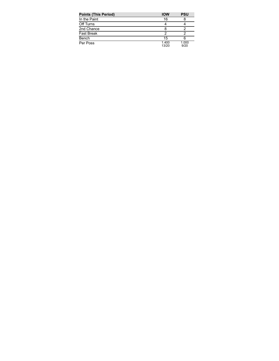| <b>Points (This Period)</b> | <b>IOW</b>     | <b>PSU</b>    |
|-----------------------------|----------------|---------------|
| In the Paint                | 16             |               |
| Off Turns                   | 4              |               |
| 2nd Chance                  | 8              |               |
| <b>Fast Break</b>           | 2              |               |
| Bench                       | 15             | 6             |
| Per Poss                    | 1.400<br>13/20 | 1.000<br>9/20 |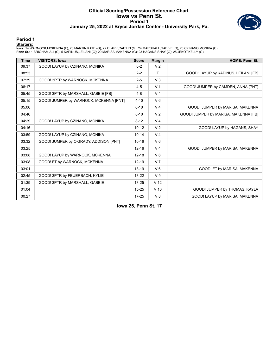#### **Official Scoring/Possession Reference Chart Iowa vs Penn St. Period 1 January 25, 2022 at Bryce Jordan Center - University Park, Pa.**



### **Period 1**

<mark>Startersː</mark><br>Iowa: 14 WARNOCK,MCKENNA (F); 20 MARTIN,KATE (G); 22 CLARK,CAITLIN (G); 24 MARSHALL,GABBIE (G); 25 CZINANO,MONIKA (C);<br>**Penn St.**: 1 BRIGHAM,ALI (C); 5 KAPINUS,LEILANI (G); 20 MARISA,MAKENNA (G); 23 HAGANS,SHAY

| <b>Time</b> | <b>VISITORS: Iowa</b>                  | <b>Score</b> | <b>Margin</b>   | <b>HOME: Penn St.</b>                |
|-------------|----------------------------------------|--------------|-----------------|--------------------------------------|
| 09:37       | GOOD! LAYUP by CZINANO, MONIKA         | $0 - 2$      | V <sub>2</sub>  |                                      |
| 08:53       |                                        | $2 - 2$      | T.              | GOOD! LAYUP by KAPINUS, LEILANI [FB] |
| 07:39       | GOOD! 3PTR by WARNOCK, MCKENNA         | $2 - 5$      | V <sub>3</sub>  |                                      |
| 06:17       |                                        | $4 - 5$      | V <sub>1</sub>  | GOOD! JUMPER by CAMDEN, ANNA [PNT]   |
| 05:45       | GOOD! 3PTR by MARSHALL, GABBIE [FB]    | $4 - 8$      | V <sub>4</sub>  |                                      |
| 05:15       | GOOD! JUMPER by WARNOCK, MCKENNA [PNT] | $4 - 10$     | $V_6$           |                                      |
| 05:06       |                                        | $6 - 10$     | V <sub>4</sub>  | GOOD! JUMPER by MARISA, MAKENNA      |
| 04:46       |                                        | $8 - 10$     | V <sub>2</sub>  | GOOD! JUMPER by MARISA, MAKENNA [FB] |
| 04:29       | GOOD! LAYUP by CZINANO, MONIKA         | $8 - 12$     | V <sub>4</sub>  |                                      |
| 04:16       |                                        | $10 - 12$    | V <sub>2</sub>  | GOOD! LAYUP by HAGANS, SHAY          |
| 03:59       | GOOD! LAYUP by CZINANO, MONIKA         | $10 - 14$    | V <sub>4</sub>  |                                      |
| 03:32       | GOOD! JUMPER by O'GRADY, ADDISON [PNT] | $10 - 16$    | $V_6$           |                                      |
| 03:25       |                                        | $12 - 16$    | V <sub>4</sub>  | GOOD! JUMPER by MARISA, MAKENNA      |
| 03:08       | GOOD! LAYUP by WARNOCK, MCKENNA        | $12 - 18$    | $V_6$           |                                      |
| 03:08       | GOOD! FT by WARNOCK, MCKENNA           | $12 - 19$    | V <sub>7</sub>  |                                      |
| 03:01       |                                        | 13-19        | $V_6$           | GOOD! FT by MARISA, MAKENNA          |
| 02:45       | GOOD! 3PTR by FEUERBACH, KYLIE         | $13 - 22$    | V <sub>9</sub>  |                                      |
| 01:39       | GOOD! 3PTR by MARSHALL, GABBIE         | $13 - 25$    | V <sub>12</sub> |                                      |
| 01:04       |                                        | $15 - 25$    | $V$ 10          | GOOD! JUMPER by THOMAS, KAYLA        |
| 00:27       |                                        | $17 - 25$    | V8              | GOOD! LAYUP by MARISA, MAKENNA       |

**Iowa 25, Penn St. 17**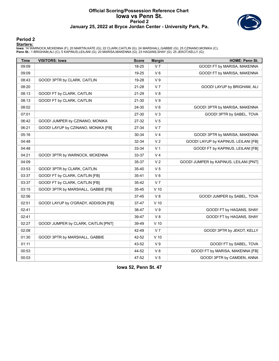#### **Official Scoring/Possession Reference Chart Iowa vs Penn St. Period 2 January 25, 2022 at Bryce Jordan Center - University Park, Pa.**



### **Period 2**

#### **Starters:**

lowa: 14 WARNOCK,MCKENNA (F); 20 MARTIN,KATE (G); 22 CLARK,CAITLIN (G); 24 MARSHALL,GABBIE (G); 25 CZINANO,MONIKA (C);<br>**Penn St.**: 1 BRIGHAM,ALI (C); 5 KAPINUS,LEILANI (G); 20 MARISA,MAKENNA (G); 23 HAGANS,SHAY (G); 25 JEK

| <b>Time</b> | <b>VISITORS: Iowa</b>                | <b>Score</b> | <b>Margin</b>  | HOME: Penn St.                         |
|-------------|--------------------------------------|--------------|----------------|----------------------------------------|
| 09:09       |                                      | 18-25        | V <sub>7</sub> | GOOD! FT by MARISA, MAKENNA            |
| 09:09       |                                      | 19-25        | $V_6$          | GOOD! FT by MARISA, MAKENNA            |
| 08:43       | GOOD! 3PTR by CLARK, CAITLIN         | 19-28        | V <sub>9</sub> |                                        |
| 08:20       |                                      | 21-28        | V <sub>7</sub> | GOOD! LAYUP by BRIGHAM, ALI            |
| 08:13       | GOOD! FT by CLARK, CAITLIN           | 21-29        | V8             |                                        |
| 08:13       | GOOD! FT by CLARK, CAITLIN           | 21-30        | V <sub>9</sub> |                                        |
| 08:02       |                                      | 24-30        | $V_6$          | GOOD! 3PTR by MARISA, MAKENNA          |
| 07:01       |                                      | 27-30        | V <sub>3</sub> | GOOD! 3PTR by SABEL, TOVA              |
| 06:42       | GOOD! JUMPER by CZINANO, MONIKA      | 27-32        | V <sub>5</sub> |                                        |
| 06:21       | GOOD! LAYUP by CZINANO, MONIKA [FB]  | 27-34        | V <sub>7</sub> |                                        |
| 05:16       |                                      | 30-34        | V <sub>4</sub> | GOOD! 3PTR by MARISA, MAKENNA          |
| 04:48       |                                      | 32-34        | V <sub>2</sub> | GOOD! LAYUP by KAPINUS, LEILANI [FB]   |
| 04:48       |                                      | 33-34        | V <sub>1</sub> | GOOD! FT by KAPINUS, LEILANI [FB]      |
| 04:21       | GOOD! 3PTR by WARNOCK, MCKENNA       | 33-37        | V <sub>4</sub> |                                        |
| 04:09       |                                      | 35-37        | V <sub>2</sub> | GOOD! JUMPER by KAPINUS, LEILANI [PNT] |
| 03:53       | GOOD! 3PTR by CLARK, CAITLIN         | 35-40        | V <sub>5</sub> |                                        |
| 03:37       | GOOD! FT by CLARK, CAITLIN [FB]      | $35 - 41$    | $V_6$          |                                        |
| 03:37       | GOOD! FT by CLARK, CAITLIN [FB]      | 35-42        | V <sub>7</sub> |                                        |
| 03:15       | GOOD! 3PTR by MARSHALL, GABBIE [FB]  | 35-45        | $V$ 10         |                                        |
| 02:56       |                                      | 37-45        | V8             | GOOD! JUMPER by SABEL, TOVA            |
| 02:51       | GOOD! LAYUP by O'GRADY, ADDISON [FB] | $37 - 47$    | $V$ 10         |                                        |
| 02:41       |                                      | 38-47        | V <sub>9</sub> | GOOD! FT by HAGANS, SHAY               |
| 02:41       |                                      | 39-47        | V8             | GOOD! FT by HAGANS, SHAY               |
| 02:27       | GOOD! JUMPER by CLARK, CAITLIN [PNT] | 39-49        | $V$ 10         |                                        |
| 02:08       |                                      | 42-49        | V <sub>7</sub> | GOOD! 3PTR by JEKOT, KELLY             |
| 01:30       | GOOD! 3PTR by MARSHALL, GABBIE       | 42-52        | $V$ 10         |                                        |
| 01:11       |                                      | 43-52        | V <sub>9</sub> | GOOD! FT by SABEL, TOVA                |
| 00:53       |                                      | 44-52        | V8             | GOOD! FT by MARISA, MAKENNA [FB]       |
| 00:03       |                                      | 47-52        | V <sub>5</sub> | GOOD! 3PTR by CAMDEN, ANNA             |

**Iowa 52, Penn St. 47**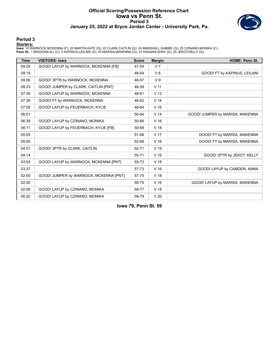#### **Official Scoring/Possession Reference Chart Iowa vs Penn St. Period 3 January 25, 2022 at Bryce Jordan Center - University Park, Pa.**



#### **Period 3**

<mark>Startersː</mark><br>Iowa: 14 WARNOCK,MCKENNA (F); 20 MARTIN,KATE (G); 22 CLARK,CAITLIN (G); 24 MARSHALL,GABBIE (G); 25 CZINANO,MONIKA (C);<br>**Penn St.**: 1 BRIGHAM,ALI (C); 5 KAPINUS,LEILANI (G); 20 MARISA,MAKENNA (G); 23 HAGANS,SHAY

| <b>Time</b> | <b>VISITORS: Iowa</b>                  | <b>Score</b> | <b>Margin</b>   | <b>HOME: Penn St.</b>           |
|-------------|----------------------------------------|--------------|-----------------|---------------------------------|
| 09:29       | GOOD! LAYUP by WARNOCK, MCKENNA [FB]   | 47-54        | V <sub>7</sub>  |                                 |
| 09:19       |                                        | 48-54        | $V_6$           | GOOD! FT by KAPINUS, LEILANI    |
| 09:06       | GOOD! 3PTR by WARNOCK, MCKENNA         | 48-57        | V <sub>9</sub>  |                                 |
| 08:23       | GOOD! JUMPER by CLARK, CAITLIN [PNT]   | 48-59        | V <sub>11</sub> |                                 |
| 07:39       | GOOD! LAYUP by WARNOCK, MCKENNA        | 48-61        | V <sub>13</sub> |                                 |
| 07:39       | GOOD! FT by WARNOCK, MCKENNA           | 48-62        | V <sub>14</sub> |                                 |
| 07:05       | GOOD! LAYUP by FEUERBACH, KYLIE        | 48-64        | V <sub>16</sub> |                                 |
| 06:51       |                                        | 50-64        | V <sub>14</sub> | GOOD! JUMPER by MARISA, MAKENNA |
| 06:39       | GOOD! LAYUP by CZINANO, MONIKA         | 50-66        | V <sub>16</sub> |                                 |
| 06:11       | GOOD! LAYUP by FEUERBACH, KYLIE [FB]   | 50-68        | V <sub>18</sub> |                                 |
| 05:55       |                                        | 51-68        | V <sub>17</sub> | GOOD! FT by MARISA, MAKENNA     |
| 05:55       |                                        | 52-68        | V <sub>16</sub> | GOOD! FT by MARISA, MAKENNA     |
| 04:57       | GOOD! 3PTR by CLARK, CAITLIN           | 52-71        | V <sub>19</sub> |                                 |
| 04:14       |                                        | 55-71        | V <sub>16</sub> | GOOD! 3PTR by JEKOT, KELLY      |
| 03:54       | GOOD! LAYUP by WARNOCK, MCKENNA [PNT]  | 55-73        | V <sub>18</sub> |                                 |
| 03:37       |                                        | 57-73        | V <sub>16</sub> | GOOD! LAYUP by CAMDEN, ANNA     |
| 02:50       | GOOD! JUMPER by WARNOCK, MCKENNA [PNT] | 57-75        | V <sub>18</sub> |                                 |
| 02:50       |                                        | 59-75        | V <sub>16</sub> | GOOD! LAYUP by MARISA, MAKENNA  |
| 02:06       | GOOD! LAYUP by CZINANO, MONIKA         | 59-77        | V <sub>18</sub> |                                 |
| 00:20       | GOOD! LAYUP by CZINANO, MONIKA         | 59-79        | V <sub>20</sub> |                                 |

**Iowa 79, Penn St. 59**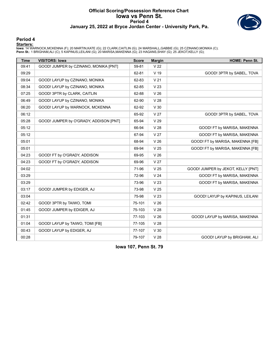#### **Official Scoring/Possession Reference Chart Iowa vs Penn St. Period 4 January 25, 2022 at Bryce Jordan Center - University Park, Pa.**



#### **Period 4**

**Starters:**

lowa: 14 WARNOCK,MCKENNA (F); 20 MARTIN,KATE (G); 22 CLARK,CAITLIN (G); 24 MARSHALL,GABBIE (G); 25 CZINANO,MONIKA (C);<br>**Penn St.**: 1 BRIGHAM,ALI (C); 5 KAPINUS,LEILANI (G); 20 MARISA,MAKENNA (G); 23 HAGANS,SHAY (G); 25 JEK

| <b>Time</b> | <b>VISITORS: Iowa</b>                  | <b>Score</b> | <b>Margin</b>   | <b>HOME: Penn St.</b>              |
|-------------|----------------------------------------|--------------|-----------------|------------------------------------|
| 09:41       | GOOD! JUMPER by CZINANO, MONIKA [PNT]  | 59-81        | V <sub>22</sub> |                                    |
| 09:29       |                                        | 62-81        | V <sub>19</sub> | GOOD! 3PTR by SABEL, TOVA          |
| 09:04       | GOOD! LAYUP by CZINANO, MONIKA         | 62-83        | V <sub>21</sub> |                                    |
| 08:34       | GOOD! LAYUP by CZINANO, MONIKA         | 62-85        | V <sub>23</sub> |                                    |
| 07:25       | GOOD! 3PTR by CLARK, CAITLIN           | 62-88        | V <sub>26</sub> |                                    |
| 06:49       | GOOD! LAYUP by CZINANO, MONIKA         | 62-90        | V <sub>28</sub> |                                    |
| 06:20       | GOOD! LAYUP by WARNOCK, MCKENNA        | 62-92        | V <sub>30</sub> |                                    |
| 06:12       |                                        | 65-92        | V <sub>27</sub> | GOOD! 3PTR by SABEL, TOVA          |
| 05:28       | GOOD! JUMPER by O'GRADY, ADDISON [PNT] | 65-94        | V <sub>29</sub> |                                    |
| 05:12       |                                        | 66-94        | V <sub>28</sub> | GOOD! FT by MARISA, MAKENNA        |
| 05:12       |                                        | 67-94        | V <sub>27</sub> | GOOD! FT by MARISA, MAKENNA        |
| 05:01       |                                        | 68-94        | V <sub>26</sub> | GOOD! FT by MARISA, MAKENNA [FB]   |
| 05:01       |                                        | 69-94        | V <sub>25</sub> | GOOD! FT by MARISA, MAKENNA [FB]   |
| 04:23       | GOOD! FT by O'GRADY, ADDISON           | 69-95        | V <sub>26</sub> |                                    |
| 04:23       | GOOD! FT by O'GRADY, ADDISON           | 69-96        | V <sub>27</sub> |                                    |
| 04:02       |                                        | 71-96        | V <sub>25</sub> | GOOD! JUMPER by JEKOT, KELLY [PNT] |
| 03:29       |                                        | 72-96        | V <sub>24</sub> | GOOD! FT by MARISA, MAKENNA        |
| 03:29       |                                        | 73-96        | V <sub>23</sub> | GOOD! FT by MARISA, MAKENNA        |
| 03:17       | GOOD! JUMPER by EDIGER, AJ             | 73-98        | V <sub>25</sub> |                                    |
| 03:04       |                                        | 75-98        | V <sub>23</sub> | GOOD! LAYUP by KAPINUS, LEILANI    |
| 02:42       | GOOD! 3PTR by TAIWO, TOMI              | 75-101       | V <sub>26</sub> |                                    |
| 01:45       | GOOD! JUMPER by EDIGER, AJ             | 75-103       | V <sub>28</sub> |                                    |
| 01:31       |                                        | 77-103       | V <sub>26</sub> | GOOD! LAYUP by MARISA, MAKENNA     |
| 01:04       | GOOD! LAYUP by TAIWO, TOMI [FB]        | 77-105       | V <sub>28</sub> |                                    |
| 00:43       | GOOD! LAYUP by EDIGER, AJ              | 77-107       | V <sub>30</sub> |                                    |
| 00:28       |                                        | 79-107       | V <sub>28</sub> | GOOD! LAYUP by BRIGHAM, ALI        |

**Iowa 107, Penn St. 79**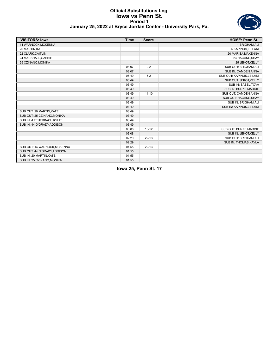#### **Official Substitutions Log Iowa vs Penn St. Period 1 January 25, 2022 at Bryce Jordan Center - University Park, Pa.**



| <b>VISITORS: Iowa</b>        | <b>Time</b> | <b>Score</b> | <b>HOME: Penn St.</b>     |
|------------------------------|-------------|--------------|---------------------------|
| 14 WARNOCK, MCKENNA          |             |              | 1 BRIGHAM, ALI            |
| 20 MARTIN, KATE              |             |              | 5 KAPINUS, LEILANI        |
| 22 CLARK, CAITLIN            |             |              | 20 MARISA, MAKENNA        |
| 24 MARSHALL, GABBIE          |             |              | 23 HAGANS, SHAY           |
| 25 CZINANO, MONIKA           |             |              | 25 JEKOT, KELLY           |
|                              | 08:07       | $2 - 2$      | SUB OUT: BRIGHAM, ALI     |
|                              | 08:07       |              | SUB IN: CAMDEN, ANNA      |
|                              | 06:49       | $5-2$        | SUB OUT: KAPINUS, LEILANI |
|                              | 06:49       |              | SUB OUT: JEKOT, KELLY     |
|                              | 06:49       |              | SUB IN: SABEL, TOVA       |
|                              | 06:49       |              | SUB IN: BURKE, MADDIE     |
|                              | 03:49       | $14 - 10$    | SUB OUT: CAMDEN, ANNA     |
|                              | 03:49       |              | SUB OUT: HAGANS, SHAY     |
|                              | 03:49       |              | SUB IN: BRIGHAM, ALI      |
|                              | 03:49       |              | SUB IN: KAPINUS, LEILANI  |
| SUB OUT: 20 MARTIN, KATE     | 03:49       |              |                           |
| SUB OUT: 25 CZINANO, MONIKA  | 03:49       |              |                           |
| SUB IN: 4 FEUERBACH, KYLIE   | 03:49       |              |                           |
| SUB IN: 44 O'GRADY, ADDISON  | 03:49       |              |                           |
|                              | 03:08       | $18-12$      | SUB OUT: BURKE, MADDIE    |
|                              | 03:08       |              | SUB IN: JEKOT, KELLY      |
|                              | 02:29       | $22 - 13$    | SUB OUT: BRIGHAM, ALI     |
|                              | 02:29       |              | SUB IN: THOMAS, KAYLA     |
| SUB OUT: 14 WARNOCK, MCKENNA | 01:55       | $22 - 13$    |                           |
| SUB OUT: 44 O'GRADY, ADDISON | 01:55       |              |                           |
| SUB IN: 20 MARTIN, KATE      | 01:55       |              |                           |
| SUB IN: 25 CZINANO, MONIKA   | 01:55       |              |                           |

**Iowa 25, Penn St. 17**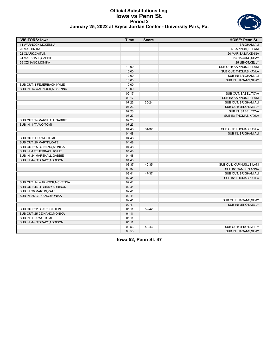#### **Official Substitutions Log Iowa vs Penn St. Period 2 January 25, 2022 at Bryce Jordan Center - University Park, Pa.**



| <b>VISITORS: Iowa</b>        | <b>Time</b> | <b>Score</b>             | <b>HOME: Penn St.</b>     |
|------------------------------|-------------|--------------------------|---------------------------|
| 14 WARNOCK, MCKENNA          |             |                          | 1 BRIGHAM, ALI            |
| 20 MARTIN, KATE              |             |                          | 5 KAPINUS, LEILANI        |
| 22 CLARK, CAITLIN            |             |                          | 20 MARISA, MAKENNA        |
| 24 MARSHALL, GABBIE          |             |                          | 23 HAGANS, SHAY           |
| 25 CZINANO, MONIKA           |             |                          | 25 JEKOT, KELLY           |
|                              | 10:00       | $\overline{\phantom{a}}$ | SUB OUT: KAPINUS, LEILANI |
|                              | 10:00       |                          | SUB OUT: THOMAS, KAYLA    |
|                              | 10:00       |                          | SUB IN: BRIGHAM, ALI      |
|                              | 10:00       |                          | SUB IN: HAGANS, SHAY      |
| SUB OUT: 4 FEUERBACH, KYLIE  | 10:00       |                          |                           |
| SUB IN: 14 WARNOCK.MCKENNA   | 10:00       |                          |                           |
|                              | 09:17       | $\overline{\phantom{a}}$ | SUB OUT: SABEL, TOVA      |
|                              | 09:17       |                          | SUB IN: KAPINUS, LEILANI  |
|                              | 07:23       | 30-24                    | SUB OUT: BRIGHAM, ALI     |
|                              | 07:23       |                          | SUB OUT: JEKOT, KELLY     |
|                              | 07:23       |                          | SUB IN: SABEL, TOVA       |
|                              | 07:23       |                          | SUB IN: THOMAS, KAYLA     |
| SUB OUT: 24 MARSHALL, GABBIE | 07:23       |                          |                           |
| SUB IN: 1 TAIWO, TOMI        | 07:23       |                          |                           |
|                              | 04:48       | 34-32                    | SUB OUT: THOMAS, KAYLA    |
|                              | 04:48       |                          | SUB IN: BRIGHAM, ALI      |
| SUB OUT: 1 TAIWO, TOMI       | 04:48       |                          |                           |
| SUB OUT: 20 MARTIN, KATE     | 04:48       |                          |                           |
| SUB OUT: 25 CZINANO, MONIKA  | 04:48       |                          |                           |
| SUB IN: 4 FEUERBACH, KYLIE   | 04:48       |                          |                           |
| SUB IN: 24 MARSHALL, GABBIE  | 04:48       |                          |                           |
| SUB IN: 44 O'GRADY, ADDISON  | 04:48       |                          |                           |
|                              | 03:37       | 40-35                    | SUB OUT: KAPINUS, LEILANI |
|                              | 03:37       |                          | SUB IN: CAMDEN, ANNA      |
|                              | 02:41       | 47-37                    | SUB OUT: BRIGHAM, ALI     |
|                              | 02:41       |                          | SUB IN: THOMAS, KAYLA     |
| SUB OUT: 14 WARNOCK, MCKENNA | 02:41       |                          |                           |
| SUB OUT: 44 O'GRADY ADDISON  | 02:41       |                          |                           |
| SUB IN: 20 MARTIN.KATE       | 02:41       |                          |                           |
| SUB IN: 25 CZINANO, MONIKA   | 02:41       |                          |                           |
|                              | 02:41       |                          | SUB OUT: HAGANS, SHAY     |
|                              | 02:41       |                          | SUB IN: JEKOT, KELLY      |
| SUB OUT: 22 CLARK, CAITLIN   | 01:11       | 52-42                    |                           |
| SUB OUT: 25 CZINANO, MONIKA  | 01:11       |                          |                           |
| SUB IN: 1 TAIWO, TOMI        | 01:11       |                          |                           |
| SUB IN: 44 O'GRADY, ADDISON  | 01:11       |                          |                           |
|                              | 00:53       | 52-43                    | SUB OUT: JEKOT, KELLY     |
|                              | 00:53       |                          | SUB IN: HAGANS, SHAY      |
|                              |             |                          |                           |

**Iowa 52, Penn St. 47**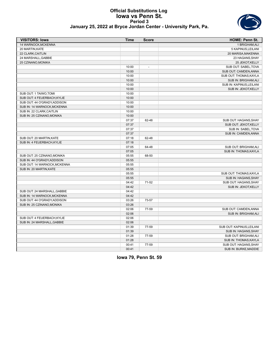#### **Official Substitutions Log Iowa vs Penn St. Period 3 January 25, 2022 at Bryce Jordan Center - University Park, Pa.**



| 14 WARNOCK, MCKENNA<br>1 BRIGHAM, ALI<br>20 MARTIN, KATE<br>5 KAPINUS, LEILANI<br>22 CLARK, CAITLIN<br>20 MARISA, MAKENNA<br>24 MARSHALL, GABBIE<br>23 HAGANS, SHAY<br>25 CZINANO, MONIKA<br>25 JEKOT, KELLY<br>10:00<br>SUB OUT: SABEL, TOVA<br>$\overline{\phantom{a}}$<br>10:00<br>SUB OUT: CAMDEN, ANNA<br>10:00<br>SUB OUT: THOMAS, KAYLA<br>10:00<br>SUB IN: BRIGHAM, ALI<br>SUB IN: KAPINUS, LEILANI<br>10:00<br>10:00<br>SUB IN: JEKOT, KELLY<br>SUB OUT: 1 TAIWO, TOMI<br>10:00<br>SUB OUT: 4 FEUERBACH, KYLIE<br>10:00<br>SUB OUT: 44 O'GRADY, ADDISON<br>10:00<br>SUB IN: 14 WARNOCK, MCKENNA<br>10:00<br>SUB IN: 22 CLARK, CAITLIN<br>10:00<br>SUB IN: 25 CZINANO, MONIKA<br>10:00<br>07:37<br>62-48<br>SUB OUT: HAGANS, SHAY<br>07:37<br>SUB OUT: JEKOT, KELLY<br>07:37<br>SUB IN: SABEL, TOVA<br>07:37<br>SUB IN: CAMDEN, ANNA<br>SUB OUT: 20 MARTIN, KATE<br>07:18<br>62-48<br>SUB IN: 4 FEUERBACH, KYLIE<br>07:18<br>07:05<br>SUB OUT: BRIGHAM, ALI<br>64-48<br>07:05<br>SUB IN: THOMAS, KAYLA<br>SUB OUT: 25 CZINANO, MONIKA<br>05:55<br>68-50<br>SUB IN: 44 O'GRADY, ADDISON<br>05:55<br>SUB OUT: 14 WARNOCK, MCKENNA<br>05:55 | <b>VISITORS: Iowa</b> | <b>Time</b> | <b>Score</b> | <b>HOME: Penn St.</b> |
|--------------------------------------------------------------------------------------------------------------------------------------------------------------------------------------------------------------------------------------------------------------------------------------------------------------------------------------------------------------------------------------------------------------------------------------------------------------------------------------------------------------------------------------------------------------------------------------------------------------------------------------------------------------------------------------------------------------------------------------------------------------------------------------------------------------------------------------------------------------------------------------------------------------------------------------------------------------------------------------------------------------------------------------------------------------------------------------------------------------------------------------------------|-----------------------|-------------|--------------|-----------------------|
|                                                                                                                                                                                                                                                                                                                                                                                                                                                                                                                                                                                                                                                                                                                                                                                                                                                                                                                                                                                                                                                                                                                                                  |                       |             |              |                       |
|                                                                                                                                                                                                                                                                                                                                                                                                                                                                                                                                                                                                                                                                                                                                                                                                                                                                                                                                                                                                                                                                                                                                                  |                       |             |              |                       |
|                                                                                                                                                                                                                                                                                                                                                                                                                                                                                                                                                                                                                                                                                                                                                                                                                                                                                                                                                                                                                                                                                                                                                  |                       |             |              |                       |
|                                                                                                                                                                                                                                                                                                                                                                                                                                                                                                                                                                                                                                                                                                                                                                                                                                                                                                                                                                                                                                                                                                                                                  |                       |             |              |                       |
|                                                                                                                                                                                                                                                                                                                                                                                                                                                                                                                                                                                                                                                                                                                                                                                                                                                                                                                                                                                                                                                                                                                                                  |                       |             |              |                       |
|                                                                                                                                                                                                                                                                                                                                                                                                                                                                                                                                                                                                                                                                                                                                                                                                                                                                                                                                                                                                                                                                                                                                                  |                       |             |              |                       |
|                                                                                                                                                                                                                                                                                                                                                                                                                                                                                                                                                                                                                                                                                                                                                                                                                                                                                                                                                                                                                                                                                                                                                  |                       |             |              |                       |
|                                                                                                                                                                                                                                                                                                                                                                                                                                                                                                                                                                                                                                                                                                                                                                                                                                                                                                                                                                                                                                                                                                                                                  |                       |             |              |                       |
|                                                                                                                                                                                                                                                                                                                                                                                                                                                                                                                                                                                                                                                                                                                                                                                                                                                                                                                                                                                                                                                                                                                                                  |                       |             |              |                       |
|                                                                                                                                                                                                                                                                                                                                                                                                                                                                                                                                                                                                                                                                                                                                                                                                                                                                                                                                                                                                                                                                                                                                                  |                       |             |              |                       |
|                                                                                                                                                                                                                                                                                                                                                                                                                                                                                                                                                                                                                                                                                                                                                                                                                                                                                                                                                                                                                                                                                                                                                  |                       |             |              |                       |
|                                                                                                                                                                                                                                                                                                                                                                                                                                                                                                                                                                                                                                                                                                                                                                                                                                                                                                                                                                                                                                                                                                                                                  |                       |             |              |                       |
|                                                                                                                                                                                                                                                                                                                                                                                                                                                                                                                                                                                                                                                                                                                                                                                                                                                                                                                                                                                                                                                                                                                                                  |                       |             |              |                       |
|                                                                                                                                                                                                                                                                                                                                                                                                                                                                                                                                                                                                                                                                                                                                                                                                                                                                                                                                                                                                                                                                                                                                                  |                       |             |              |                       |
|                                                                                                                                                                                                                                                                                                                                                                                                                                                                                                                                                                                                                                                                                                                                                                                                                                                                                                                                                                                                                                                                                                                                                  |                       |             |              |                       |
|                                                                                                                                                                                                                                                                                                                                                                                                                                                                                                                                                                                                                                                                                                                                                                                                                                                                                                                                                                                                                                                                                                                                                  |                       |             |              |                       |
|                                                                                                                                                                                                                                                                                                                                                                                                                                                                                                                                                                                                                                                                                                                                                                                                                                                                                                                                                                                                                                                                                                                                                  |                       |             |              |                       |
|                                                                                                                                                                                                                                                                                                                                                                                                                                                                                                                                                                                                                                                                                                                                                                                                                                                                                                                                                                                                                                                                                                                                                  |                       |             |              |                       |
|                                                                                                                                                                                                                                                                                                                                                                                                                                                                                                                                                                                                                                                                                                                                                                                                                                                                                                                                                                                                                                                                                                                                                  |                       |             |              |                       |
|                                                                                                                                                                                                                                                                                                                                                                                                                                                                                                                                                                                                                                                                                                                                                                                                                                                                                                                                                                                                                                                                                                                                                  |                       |             |              |                       |
|                                                                                                                                                                                                                                                                                                                                                                                                                                                                                                                                                                                                                                                                                                                                                                                                                                                                                                                                                                                                                                                                                                                                                  |                       |             |              |                       |
|                                                                                                                                                                                                                                                                                                                                                                                                                                                                                                                                                                                                                                                                                                                                                                                                                                                                                                                                                                                                                                                                                                                                                  |                       |             |              |                       |
|                                                                                                                                                                                                                                                                                                                                                                                                                                                                                                                                                                                                                                                                                                                                                                                                                                                                                                                                                                                                                                                                                                                                                  |                       |             |              |                       |
|                                                                                                                                                                                                                                                                                                                                                                                                                                                                                                                                                                                                                                                                                                                                                                                                                                                                                                                                                                                                                                                                                                                                                  |                       |             |              |                       |
|                                                                                                                                                                                                                                                                                                                                                                                                                                                                                                                                                                                                                                                                                                                                                                                                                                                                                                                                                                                                                                                                                                                                                  |                       |             |              |                       |
|                                                                                                                                                                                                                                                                                                                                                                                                                                                                                                                                                                                                                                                                                                                                                                                                                                                                                                                                                                                                                                                                                                                                                  |                       |             |              |                       |
|                                                                                                                                                                                                                                                                                                                                                                                                                                                                                                                                                                                                                                                                                                                                                                                                                                                                                                                                                                                                                                                                                                                                                  |                       |             |              |                       |
|                                                                                                                                                                                                                                                                                                                                                                                                                                                                                                                                                                                                                                                                                                                                                                                                                                                                                                                                                                                                                                                                                                                                                  |                       |             |              |                       |
| SUB IN: 20 MARTIN, KATE<br>05:55                                                                                                                                                                                                                                                                                                                                                                                                                                                                                                                                                                                                                                                                                                                                                                                                                                                                                                                                                                                                                                                                                                                 |                       |             |              |                       |
| 05:55<br>SUB OUT: THOMAS, KAYLA                                                                                                                                                                                                                                                                                                                                                                                                                                                                                                                                                                                                                                                                                                                                                                                                                                                                                                                                                                                                                                                                                                                  |                       |             |              |                       |
| SUB IN: HAGANS, SHAY<br>05:55                                                                                                                                                                                                                                                                                                                                                                                                                                                                                                                                                                                                                                                                                                                                                                                                                                                                                                                                                                                                                                                                                                                    |                       |             |              |                       |
| 04:42<br>71-52<br>SUB OUT: HAGANS, SHAY                                                                                                                                                                                                                                                                                                                                                                                                                                                                                                                                                                                                                                                                                                                                                                                                                                                                                                                                                                                                                                                                                                          |                       |             |              |                       |
| 04:42<br>SUB IN: JEKOT, KELLY                                                                                                                                                                                                                                                                                                                                                                                                                                                                                                                                                                                                                                                                                                                                                                                                                                                                                                                                                                                                                                                                                                                    |                       |             |              |                       |
| SUB OUT: 24 MARSHALL, GABBIE<br>04:42                                                                                                                                                                                                                                                                                                                                                                                                                                                                                                                                                                                                                                                                                                                                                                                                                                                                                                                                                                                                                                                                                                            |                       |             |              |                       |
| SUB IN: 14 WARNOCK, MCKENNA<br>04:42                                                                                                                                                                                                                                                                                                                                                                                                                                                                                                                                                                                                                                                                                                                                                                                                                                                                                                                                                                                                                                                                                                             |                       |             |              |                       |
| SUB OUT: 44 O'GRADY, ADDISON<br>73-57<br>03:26                                                                                                                                                                                                                                                                                                                                                                                                                                                                                                                                                                                                                                                                                                                                                                                                                                                                                                                                                                                                                                                                                                   |                       |             |              |                       |
| SUB IN: 25 CZINANO, MONIKA<br>03:26                                                                                                                                                                                                                                                                                                                                                                                                                                                                                                                                                                                                                                                                                                                                                                                                                                                                                                                                                                                                                                                                                                              |                       |             |              |                       |
| 02:06<br>77-59<br>SUB OUT: CAMDEN, ANNA                                                                                                                                                                                                                                                                                                                                                                                                                                                                                                                                                                                                                                                                                                                                                                                                                                                                                                                                                                                                                                                                                                          |                       |             |              |                       |
| 02:06<br>SUB IN: BRIGHAM, ALI                                                                                                                                                                                                                                                                                                                                                                                                                                                                                                                                                                                                                                                                                                                                                                                                                                                                                                                                                                                                                                                                                                                    |                       |             |              |                       |
| SUB OUT: 4 FEUERBACH, KYLIE<br>02:06                                                                                                                                                                                                                                                                                                                                                                                                                                                                                                                                                                                                                                                                                                                                                                                                                                                                                                                                                                                                                                                                                                             |                       |             |              |                       |
| SUB IN: 24 MARSHALL, GABBIE<br>02:06                                                                                                                                                                                                                                                                                                                                                                                                                                                                                                                                                                                                                                                                                                                                                                                                                                                                                                                                                                                                                                                                                                             |                       |             |              |                       |
| 01:39<br>77-59<br>SUB OUT: KAPINUS, LEILANI                                                                                                                                                                                                                                                                                                                                                                                                                                                                                                                                                                                                                                                                                                                                                                                                                                                                                                                                                                                                                                                                                                      |                       |             |              |                       |
| 01:39<br>SUB IN: HAGANS SHAY                                                                                                                                                                                                                                                                                                                                                                                                                                                                                                                                                                                                                                                                                                                                                                                                                                                                                                                                                                                                                                                                                                                     |                       |             |              |                       |
| 01:28<br>77-59<br>SUB OUT: BRIGHAM, ALI                                                                                                                                                                                                                                                                                                                                                                                                                                                                                                                                                                                                                                                                                                                                                                                                                                                                                                                                                                                                                                                                                                          |                       |             |              |                       |
| 01:28<br>SUB IN: THOMAS, KAYLA                                                                                                                                                                                                                                                                                                                                                                                                                                                                                                                                                                                                                                                                                                                                                                                                                                                                                                                                                                                                                                                                                                                   |                       |             |              |                       |
| SUB OUT: HAGANS, SHAY<br>00:41<br>77-59                                                                                                                                                                                                                                                                                                                                                                                                                                                                                                                                                                                                                                                                                                                                                                                                                                                                                                                                                                                                                                                                                                          |                       |             |              |                       |
| 00:41<br>SUB IN: BURKE, MADDIE                                                                                                                                                                                                                                                                                                                                                                                                                                                                                                                                                                                                                                                                                                                                                                                                                                                                                                                                                                                                                                                                                                                   |                       |             |              |                       |

**Iowa 79, Penn St. 59**